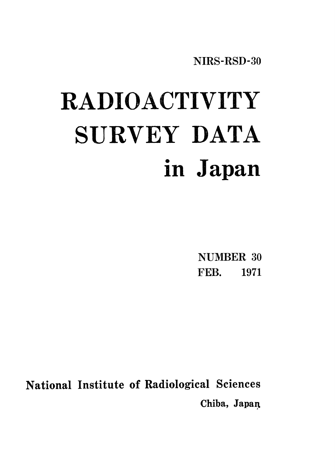NIRS-RSD-30

# RADIOACTIVITY SURVEY DATA in Japan

NUMBER 30 FEB. 1971

National Institute of Radiological Sciences Chiba, Japan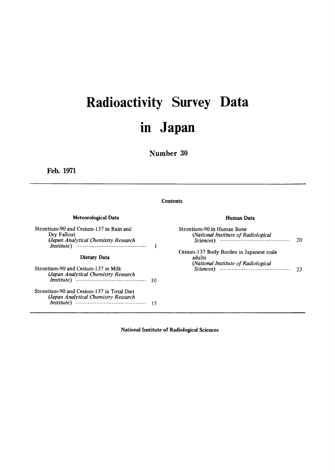# Radioactivity Survey Data in Japan

Number 30

Feb. 1971

#### **Contents**

#### Meteorological Data

Strontium-90 and Cesium-137 in Rain and Dry Fallout (Japan Analytical Chemistry Research  $\mathbf{I}$ **Dietary Data** Strontium-90 and Cesium-137 in Milk Strontium-90 and Cesium-137 in Total Diet (Japan Analytical Chemistry Research 

#### Human Data

| Strontium-90 in Human Bone<br>(National Institute of Radiological<br>Sciences) | 20 |
|--------------------------------------------------------------------------------|----|
| Cesium-137 Body Burden in Japanese male<br>adults                              |    |
| (National Institute of Radiological<br>Sciences)                               | 73 |

National Institute of Radiological Sciences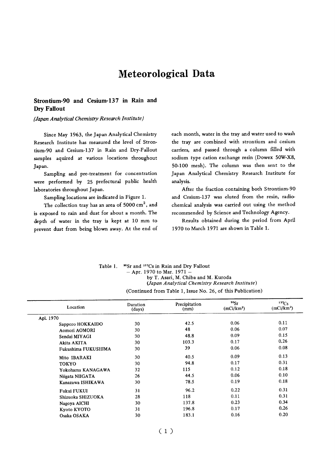# Meteorological Data

#### Strontium-90 and Cesium-137 in Rain and **Dry Fallout**

(Japan Analytical Chemistry Research Institute)

Since May 1963, the Japan Analytical Chemistry Research Institute has measured the level of Strontium-90 and Cesium-137 in Rain and Dry-Fallout samples aquired at various locations throughout Japan.

Sampling and pre-treatment for concentration were performed by 25 prefectural public health laboratories throughout Japan.

Sampling locations are indicated in Figure 1.

The collection tray has an area of 5000 cm<sup>2</sup>, and is exposed to rain and dust for about a month. The depth of water in the tray is kept at 10 mm to prevent dust from being blown away. At the end of each month, water in the tray and water used to wash the tray are combined with strontium and cesium carriers, and passed through a column filled with sodium type cation exchange resin (Dowex 50W-X8, 50-100 mesh). The column was then sent to the Japan Analytical Chemistry Research Institute for analysis.

After the fraction containing both Strontium-90 and Cesium-137 was eluted from the resin, radiochemical analysis was carried out using the method recommended by Science and Technology Agency.

Results obtained during the period from April 1970 to March 1971 are shown in Table 1.

| Table 1. | <sup>90</sup> Sr and <sup>137</sup> Cs in Rain and Dry Fallout |
|----------|----------------------------------------------------------------|
|          | $-$ Apr. 1970 to Mar. 1971 $-$                                 |
|          | by T. Asari, M. Chiba and M. Kuroda                            |
|          | (Japan Analytical Chemistry Research Institute)                |
|          | (Continued from Table 1, Issue No. 26, of this Publication)    |

| Location            | Duration<br>(days) | Precipitation<br>(mm) | 90 <sub>ST</sub><br>(mCi/km <sup>2</sup> ) | $137C_S$<br>(mCi/km <sup>2</sup> ) |
|---------------------|--------------------|-----------------------|--------------------------------------------|------------------------------------|
| Apl. 1970           |                    |                       |                                            |                                    |
| Sapporo HOKKAIDO    | 30                 | 42.5                  | 0.06                                       | 0.11                               |
| Aomori AOMORI       | 30                 | 48                    | 0.06                                       | 0.07                               |
| Sendai MIYAGI       | 30                 | 48.8                  | 0.09                                       | 0.15                               |
| Akita AKITA         | 30                 | 103.3                 | 0.17                                       | 0.26                               |
| Fukushima FUKUSHIMA | 30                 | 39                    | 0.06                                       | 0.08                               |
| Mito IBARAKI        | 30                 | 40.5                  | 0.09                                       | 0.13                               |
| <b>TOKYO</b>        | 30                 | 94.8                  | 0.17                                       | 0.31                               |
| Yokohama KANAGAWA   | 32                 | 115                   | 0.12                                       | 0.18                               |
| Niigata NIIGATA     | 26                 | 44.5                  | 0.06                                       | 0.10                               |
| Kanazawa ISHIKAWA   | 30                 | 78.5                  | 0.19                                       | 0.18                               |
| Fukui FUKUI         | 31                 | 96.2                  | 0.22                                       | 0.31                               |
| Shizuoka SHIZUOKA   | 28                 | 118                   | 0.11                                       | 0.31                               |
| Nagoya AICHI        | 30                 | 137.8                 | 0.23                                       | 0.34                               |
| Kyoto KYOTO         | 31                 | 196.8                 | 0.17                                       | 0.26                               |
| Osaka OSAKA         | 30                 | 183.1                 | 0.16                                       | 0.20                               |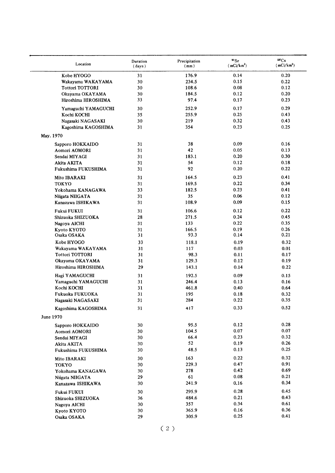| Location               | Duration<br>(days) | Precipitation<br>(mm) | $\mathfrak{g}_{\mathrm{sr}}$<br>(mCi/km <sup>2</sup> ) | 137C <sub>S</sub><br>(mCi/km <sup>2</sup> ) |
|------------------------|--------------------|-----------------------|--------------------------------------------------------|---------------------------------------------|
| Kobe HYOGO             | 31                 | 176.9                 | 0.14                                                   | 0.20                                        |
| Wakayama WAKAYAMA      | 30                 | 234.5                 | 0.15                                                   | 0.22                                        |
| <b>Tottori TOTTORI</b> | 30                 | 108.6                 | 0.08                                                   | 0.12                                        |
| Okayama OKAYAMA        | 30                 | 184.5                 | 0.12                                                   | 0.20                                        |
| Hiroshima HIROSHIMA    | 33                 | 97.4                  | 0.17                                                   | 0.23                                        |
| Yamaguchi YAMAGUCHI    | 30                 | 252.9                 | 0.17                                                   | 0.29                                        |
| Kochi KOCHI            | 35                 | 255.9                 | 0.25                                                   | 0.43                                        |
| Nagasaki NAGASAKI      | 30                 | 219                   | 0.32                                                   | 0.43                                        |
| Kagoshima KAGOSHIMA    | 31                 | 354                   | 0.23                                                   | 0.25                                        |
| May. 1970              |                    |                       |                                                        |                                             |
| Sapporo HOKKAIDO       | 31                 | 38                    | 0.09                                                   | 0.16                                        |
| Aomori AOMORI          | 31                 | 42                    | 0.05                                                   | 0.13                                        |
|                        |                    |                       | 0.20                                                   | 0.30                                        |
| Sendai MIYAGI          | 31                 | 183.1                 |                                                        |                                             |
| Akita AKITA            | 31                 | 54                    | 0.12                                                   | 0.18                                        |
| Fukushima FUKUSHIMA    | 31                 | 92                    | 0.20                                                   | 0.22                                        |
| Mito IBARAKI           | 31                 | 164.5                 | 0.23                                                   | 0.41                                        |
| <b>TOKYO</b>           | 31                 | 169.5                 | 0.22                                                   | 0.34                                        |
| Yokohama KANAGAWA      | 33                 | 182.5                 | 0.23                                                   | 0.41                                        |
| Niigata NIIGATA        | 31                 | 35                    | 0.06                                                   | 0.12                                        |
| Kanazawa ISHIKAWA      | 31                 | 108.9                 | 0.09                                                   | 0.15                                        |
| Fukui FUKUI            | 31                 | 106.6                 | 0.12                                                   | 0.22                                        |
| Shizuoka SHIZUOKA      | 28                 | 271.5                 | 0.24                                                   | 0.45                                        |
| Nagoya AICHI           | 31                 | 133                   | 0.22                                                   | 0.35                                        |
| Kyoto KYOTO            | 31                 | 166.5                 | 0.19                                                   | 0.26                                        |
| Osaka OSAKA            | 31                 | 93.3                  | 0.14                                                   | 0.21                                        |
| Kobe HYOGO             | 33                 | 118.1                 | 0.19                                                   | 0.32                                        |
| Wakayama WAKAYAMA      | 31                 | 117                   | 0.03                                                   | 0.01                                        |
| <b>Tottori TOTTORI</b> | 31                 | 98.3                  | 0.11                                                   | 0.17                                        |
| Okayama OKAYAMA        | 31                 | 129.3                 | 0.12                                                   | 0.19                                        |
| Hiroshima HIROSHIMA    | 29                 | 143.1                 | 0.14                                                   | 0.22                                        |
| Hagi YAMAGUCHI         | 31                 | 192.5                 | 0.09                                                   | 0.15                                        |
| Yamaguchi YAMAGUCHI    | 31                 | 246.4                 | 0.13                                                   | 0.16                                        |
|                        |                    |                       |                                                        |                                             |
| Kochi KOCHI            | 31                 | 461.8                 | 0.40                                                   | 0.64                                        |
| Fukuoka FUKUOKA        | 31<br>31           | 195<br>284            | 0.18<br>0.22                                           | 0.32<br>0.35                                |
| Nagasaki NAGASAKI      |                    |                       |                                                        | 0.52                                        |
| Kagoshima KAGOSHIMA    | 31                 | 417                   | 0.33                                                   |                                             |
| June 1970              |                    |                       |                                                        |                                             |
| Sapporo HOKKAIDO       | 30                 | 95.5                  | 0.12                                                   | 0.28                                        |
| Aomori AOMORI          | 30                 | 104.5                 | 0.07                                                   | 0.07                                        |
| Sendai MIYAGI          | 30                 | 66.4                  | 0.23                                                   | 0.32                                        |
| Akita AKITA            | 30                 | 52                    | 0.19                                                   | 0.26                                        |
| Fukushima FUKUSHIMA    | 30                 | 48.5                  | 0.13                                                   | 0.25                                        |
| Mito IBARAKI           | 30                 | 163                   | 0.22                                                   | 0.32                                        |
| <b>TOKYO</b>           | 30                 | 229.3                 | 0.47                                                   | 0.91                                        |
| Yokohama KANAGAWA      | 30                 | 278                   | 0.42                                                   | 0.69                                        |
| Niigata NIIGATA        | 29                 | 61                    | 0.08                                                   | 0.21                                        |
| Kanazawa ISHIKAWA      | 30                 | 241.9                 | 0.16                                                   | 0.34                                        |
| Fukui FUKUI            | 30                 | 295.9                 | 0.28                                                   | 0.45                                        |
| Shizuoka SHIZUOKA      | 36                 | 484.6                 | 0.21                                                   | 0.43                                        |
| Nagoya AICHI           | 30                 | 357                   | 0.34                                                   | 0.61                                        |
| Kyoto KYOTO            | 30                 | 365.9                 | 0.16                                                   | 0.36                                        |
| Osaka OSAKA            | 29                 | 305.9                 | 0.25                                                   | 0.41                                        |
|                        |                    |                       |                                                        |                                             |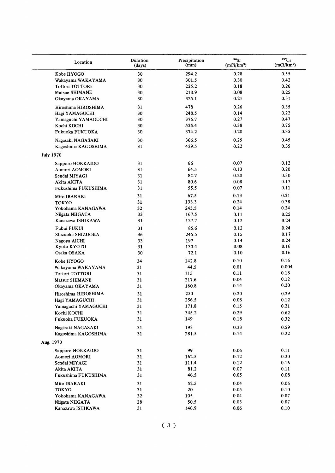| Location                           | Duration<br>(days) | Precipitation<br>(mm) | 90 <sub>ST</sub><br>(mCi/km <sup>2</sup> ) | $137C_S$<br>(mCi/km <sup>2</sup> ) |
|------------------------------------|--------------------|-----------------------|--------------------------------------------|------------------------------------|
| Kobe HYOGO                         | 30                 | 294.2                 | 0.28                                       | 0.55                               |
| Wakayama WAKAYAMA                  | 30                 | 301.5                 | 0.30                                       | 0.42                               |
| <b>Tottori TOTTORI</b>             | 30                 | 225.2                 | 0.18                                       | 0.26                               |
| Matsue SHIMANE                     | 30                 | 210.9                 | 0.08                                       | 0.25                               |
| Okayama OKAYAMA                    | 30                 | 325.1                 | 0.21                                       | 0.31                               |
| Hiroshima HIROSHIMA                | 31                 | 478                   | 0.26                                       | 0.35                               |
| Hagi YAMAGUCHI                     | 30                 | 248.5                 | 0.14                                       | 0.22                               |
| Yamaguchi YAMAGUCHI                | 30                 | 376.7                 | 0.27                                       | 0.47                               |
| Kochi KOCHI                        | 30                 | 525.4                 | 0.38                                       | 0.75                               |
| Fukuoka FUKUOKA                    | 30                 | 374.2                 | 0.20                                       | 0.35                               |
| Nagasaki NAGASAKI                  | 30                 | 366.5                 | 0.25                                       | 0.45                               |
| Kagoshima KAGOSHIMA                | 31                 | 429.5                 | 0.22                                       | 0.35                               |
|                                    |                    |                       |                                            |                                    |
| <b>July 1970</b>                   |                    |                       |                                            |                                    |
| Sapporo HOKKAIDO                   | 31                 | 66                    | 0.07                                       | 0.12                               |
| Aomori AOMORI                      | 31                 | 64.5                  | 0.13                                       | 0.20                               |
| Sendai MIYAGI                      | 31                 | 84.7                  | 0.20                                       | 0.30                               |
| Akita AKITA                        | 31                 | 80.6                  | 0.08                                       | 0.17                               |
| Fukushima FUKUSHIMA                | 31                 | 55.5                  | 0.07                                       | 0.11                               |
| Mito IBARAKI                       | 31                 | 67.5                  | 0.13                                       | 0.21                               |
| <b>TOKYO</b>                       | 31                 | 133.3                 | 0.24                                       | 0.38                               |
| Yokohama KANAGAWA                  | 32                 | 245.5                 | 0.14                                       | 0.24                               |
| Niigata NIIGATA                    | 33                 | 167.5                 | 0.11                                       | 0.25                               |
| Kanazawa ISHIKAWA                  | 31                 | 127.7                 | 0.12                                       | 0.24                               |
| Fukui FUKUI                        | 31                 | 85.6                  | 0.12                                       | 0.24                               |
| Shizuoka SHIZUOKA                  | 36                 | 245.5                 | 0.15                                       | 0.17                               |
| Nagoya AICHI                       | 33                 | 197                   | 0.14                                       | 0.24                               |
| Kyoto KYOTO                        | 31                 | 130.4                 | 0.08                                       | 0.16                               |
| Osaka OSAKA                        | 30                 | 72.1                  | 0.10                                       | 0.16                               |
| Kobe HYOGO                         | 34                 | 142.8                 | 0.10                                       | 0.16                               |
| Wakayama WAKAYAMA                  | 31                 | 44.5                  | 0.01                                       | 0.004                              |
| <b>Tottori TOTTORI</b>             | 31                 | 115                   | 0.11                                       | 0.18                               |
| Matsue SHIMANE                     | 31                 | 217.6                 | 0.04                                       | 0.12                               |
| Okayama OKAYAMA                    | 31                 | 160.8                 | 0.14                                       | 0.20                               |
| Hiroshima HIROSHIMA                | 31                 | 250                   | 0.20                                       | 0.29                               |
| Hagi YAMAGUCHI                     | 31                 | 256.5                 | 0.08                                       | 0.12                               |
| Yamaguchi YAMAGUCHI                | 31                 | 171.8                 | 0.15                                       | 0.21                               |
| Kochi KOCHI                        | 31                 | 345.2                 | 0.29                                       | 0.62                               |
| Fukuoka FUKUOKA                    | 31                 | 149                   | 0.18                                       | 0.32                               |
| Nagasaki NAGASAKI                  | 31                 | 193                   | 0.33                                       | 0.59                               |
| Kagoshima KAGOSHIMA                | 31                 | 281.5                 | 0.14                                       | 0.22                               |
| Aug. 1970                          |                    |                       |                                            |                                    |
| Sapporo HOKKAIDO                   | 31                 | 99                    | 0.06                                       | 0.11                               |
| Aomori AOMORI                      | 31                 | 162.5                 | 0.12                                       | 0.20                               |
| Sendai MIYAGI                      | 31                 | 111.4                 | 0.12                                       | 0.16                               |
|                                    |                    |                       |                                            | 0.11                               |
| Akita AKITA<br>Fukushima FUKUSHIMA | 31<br>31           | 81.2<br>46.5          | 0.07<br>0.05                               | $0.08\,$                           |
|                                    |                    |                       |                                            |                                    |
| Mito IBARAKI                       | 31                 | 52.5                  | 0.04                                       | 0.06                               |
| <b>TOKYO</b>                       | 31                 | 20                    | 0.05                                       | 0.10                               |
| Yokohama KANAGAWA                  | 32                 | 105                   | 0.04                                       | 0.07                               |
| Niigata NIIGATA                    | 28                 | 50.5                  | 0.03                                       | $0.07\,$                           |
| Kanazawa ISHIKAWA                  | 31                 | 146.9                 | 0.06                                       | 0.10                               |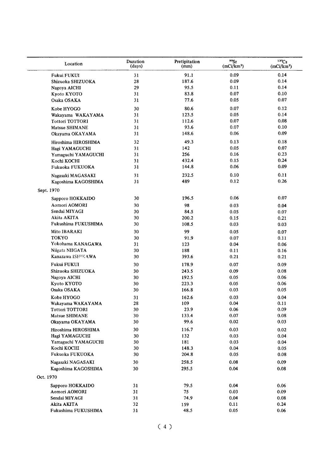| Location               | Duration<br>(days) | Pretipitation<br>(mm) | 90Sr<br>(mCi/km <sup>2</sup> ) | 137Cs<br>(mCi/km <sup>2</sup> ) |
|------------------------|--------------------|-----------------------|--------------------------------|---------------------------------|
| Fukui FUKUI            | 31                 | 91.1                  | 0.09                           | 0.14                            |
| Shizuoka SHIZUOKA      | 28                 | 187.6                 | 0.09                           | 0.14                            |
| Nagoya AICHI           | 29                 | 95.5                  | 0.11                           | 0.14                            |
| Kyoto KYOTO            | 31                 | 83.8                  | 0.07                           | 0.10                            |
| Osaka OSAKA            | 31                 | 77.6                  | 0.05                           | 0.07                            |
| Kobe HYOGO             | 30                 | 80.6                  | 0.07                           | 0.12                            |
| Wakayama WAKAYAMA      | 31                 | 123.5                 | 0.05                           | 0.14                            |
| <b>Tottori TOTTORI</b> | 31                 | 112.6                 | 0.07                           | 0.08                            |
| Matsue SHIMANE         | 31                 | 93.6                  | 0.07                           | 0.10                            |
| Okayama OKAYAMA        | 31                 | 148.6                 | 0.06                           | 0.09                            |
| Hiroshima HIROSHIMA    | 32                 | 49.3                  | 0.13                           | 0.18                            |
| Hagi YAMAGUCHI         | 31                 | 142                   | 0.05                           | 0.07                            |
| Yamaguchi YAMAGUCHI    | 31                 | 256                   | 0.16                           | 0.23                            |
| Kochi KOCHI            | 31                 | 432.4                 | 0.15                           | 0.24                            |
| Fukuoka FUKUOKA        | 31                 | 144.8                 | 0.06                           | 0.09                            |
| Nagasaki MAGASAKI      | 31                 | 232.5                 | 0.10                           | 0.11                            |
| Kagoshima KAGOSHIMA    | 31                 | 489                   | 0.12                           | 0.26                            |
| Sept. 1970             |                    |                       |                                |                                 |
| Sapporo HOKKAIDO       | 30                 | 196.5                 | 0.06                           | 0.07                            |
| Aomori AOMORI          | 30                 | 98                    | 0.03                           | 0.04                            |
| Sendai MIYAGI          | 30                 | 84.5                  | 0.05                           | 0.07                            |
| Akita AKITA            | 30                 | 200.2                 | 0.15                           | 0.21                            |
| Fukushima FUKUSHIMA    | 30                 | 108.5                 | 0.03                           | 0.03                            |
| Mito IBARAKI           | 30                 | 99                    | 0.05                           | 0.07                            |
| <b>TOKYO</b>           | 30                 | 91.9                  | 0.07                           | 0.11                            |
| Yokohama KANAGAWA      | 31                 | 123                   | 0.04                           | 0.06                            |
| Niigata NIIGATA        | 30                 | 188                   | 0.11                           | 0.16                            |
| Kanazawa ISH!KAWA      | 30                 | 393.6                 | 0.21                           | 0.21                            |
| Fukui FUKUI            | 30                 | 178.9                 | 0.07                           | 0.09                            |
| Shizuoka SHIZUOKA      | 30                 | 243.5                 | 0.09                           | 0.08                            |
| Nagoya AICHI           | 30                 | 192.5                 | 0.05                           | 0.06                            |
| Kyoto KYOTO            | 30                 | 223.3                 | 0.05                           | 0.06                            |
| Osaka OSAKA            | 30                 | 166.8                 | 0.03                           | 0.05                            |
| Kobe HYOGO             | 31                 | 162.6                 | 0.03                           | 0.04                            |
| Wakayama WAKAYAMA      | 28                 | 109                   | 0.04                           | 0.11                            |
| Tottori TOTTORI        | 30                 | 23.9                  | 0.06                           | 0.09                            |
| Matsue SHIMANE         | 30                 | 133.4                 | $0.07\,$                       | 0.08                            |
| Okayama OKAYAMA        | 30                 | 99.6                  | 0.02                           | 0.03                            |
| Hiroshima HIROSHIMA    | 30                 | 116.7                 | 0.03                           | 0.02                            |
| Hagi YAMAGUCHI         | 30                 | 132                   | 0.03                           | 0.04                            |
| Yamaguchi YAMAGUCHI    | 30                 | 181                   | 0.03                           | 0.04                            |
| Kochi KOCHI            | 30                 | 148.3                 | 0.04                           | 0.05                            |
| Fukuoka FUKUOKA        | 30                 | 204.8                 | 0.05                           | 0.08                            |
| Nagasaki NAGASAKI      | 30                 | 258.5                 | 0.08                           | 0.09                            |
| Kagoshima KAGOSHIMA    | 30                 | 295.5                 | 0.04                           | 0.08                            |
| Oct. 1970              |                    |                       |                                |                                 |
| Sapporo HOKKAIDO       | 31                 | 79.5                  | 0.04                           | 0.06                            |
| Aomori AOMORI          | 31                 | 75                    | 0.03                           | 0.09                            |
| Sendai MIYAGI          | 31                 | 74.9                  | 0.04                           | 0.08                            |
| Akita AKITA            | 32                 | 159                   | 0.11                           | 0.24                            |
| Fukushima FUKUSHIMA    | 31                 | 48.5                  | 0.05                           | 0.06                            |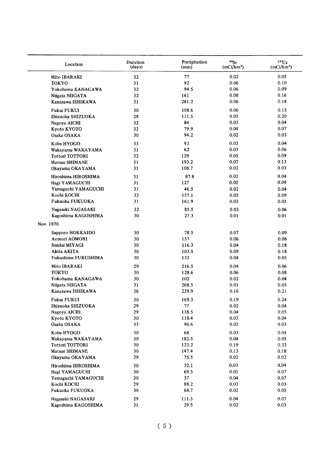| Location            | Duration<br>(days) | Pretipitation<br>(mm) | 90 <sub>ST</sub><br>(mCi/km <sup>2</sup> ) | $137C_S$<br>(mCi/km <sup>2</sup> ) |
|---------------------|--------------------|-----------------------|--------------------------------------------|------------------------------------|
| Mito IBARAKI        | 32                 | 77                    | 0.02                                       | 0.05                               |
| <b>TOKYO</b>        | 31                 | 92                    | 0.06                                       | 0.10                               |
| Yokohama KANAGAWA   | 32                 | 94.5                  | 0.06                                       | 0.09                               |
| Niigata NIIGATA     | 32                 | 161                   | 0.08                                       | 0.16                               |
| Kanazawa ISHIKAWA   | 31                 | 281.2                 | 0.06                                       | 0.14                               |
| Fukui FUKUI         | 30                 | 108.6                 | 0.06                                       | 0.13                               |
| Shizuoka SHIZUOKA   | 28                 | 111.5                 | 0.05                                       | 0.20                               |
| Nagoya AICHI        | 32                 | 84                    | 0.03                                       | 0.04                               |
| Kyoto KYOTO         | 32                 | 79.9                  | 0.04                                       | 0.07                               |
| Osaka OSAKA         | 30                 | 94.2                  | 0.02                                       | 0.03                               |
| Kobe HYOGO          | 33                 | 92                    | 0.03                                       | 0.04                               |
| Wakayama WAKAYAMA   | 31                 | 62                    | 0.03                                       | 0.06                               |
| Tottori TOTTORI     | 32                 | 129                   | 0.05                                       | 0.09                               |
| Matsue SHIMANE      | 31                 | 193.2                 | 0.07                                       | 0.13                               |
| Okayama OKAYAMA     | 31                 | 108.7                 | 0.02                                       | 0.03                               |
| Hiroshima HIROSHIMA | 31                 | 87.8                  | 0.02                                       | 0.04                               |
| Hagi YAMAGUCHI      | 31                 | 127                   | 0.05                                       | 0.09                               |
| Yamaguchi YAMAGUCHI | 31                 | 46.5                  | 0.02                                       | 0.04                               |
| Kochi KOCHI         | 32                 | 157.1                 | 0.05                                       | 0.09                               |
| Fukuoka FUKUOKA     | 31                 | 161.9                 | 0.03                                       | 0.05                               |
| Nagasaki NAGASAKI   | 32                 | 85.5                  | 0.03                                       | 0.06                               |
| Kagoshima KAGOSHIMA | 30                 | 27.3                  | 0.01                                       | 0.01                               |
| Nov. 1970           |                    |                       |                                            |                                    |
| Sapporo HOKKAIDO    | 30                 | 78.5                  | 0.07                                       | 0.09                               |
| Aomori AOMORI       | 30                 | 157                   | 0.06                                       | 0.08                               |
| Sendai MIYAGI       | 30                 | 116.3                 | 0.04                                       | 0.18                               |
| Akita AKITA         | 30                 | 103.5                 | 0.09                                       | 0.18                               |
| Fukushima FUKUSHIMA | 30                 | 132                   | 0.04                                       | 0.05                               |
| Mito IBARAKI        | 29                 | 216.5                 | 0.04                                       | 0.06                               |
| <b>TOKYO</b>        | 30                 | 128.6                 | 0.06                                       | 0.08                               |
| Yokohama KANAGAWA   | 30                 | 102                   | 0.02                                       | 0.04                               |
| Niigata NIIGATA     | 31                 | 268.5                 | 0.01                                       | 0.05                               |
| Kanazawa ISHIKAWA   | 26                 | 229.9                 | 0.16                                       | 0.21                               |
| Fukui FUKUI         | 30                 | 169.3                 | 0.19                                       | 0.24                               |
| Shizuoka SHIZUOKA   | 29                 | ${\bf 77}$            | $\rm 0.02$                                 | 0.04                               |
| Nagoya AICHI        | 29                 | 138.5                 | 0.04                                       | 0.05                               |
| Kyoto KYOTO         | 30                 | 118.4                 | 0.03                                       | 0.04                               |
| Osaka OSAKA         | 33                 | 96.6                  | 0.02                                       | 0.03                               |
| Kobe HYOGO          | 30                 | 68                    | 0.03                                       | 0.04                               |
| Wakayama WAKAYAMA   | 30                 | 182.5                 | 0.04                                       | 0.05                               |
| Tottori TOTTORI     | 30                 | 123.2                 | 0.19                                       | 0.32                               |
| Matsue SHIMANE      | 30                 | 147.4                 | 0.13                                       | 0.18                               |
| Okayama OKAYAMA     | 29                 | 75.5                  | 0.02                                       | 0.02                               |
| Hiroshima HIROSHIMA | 30                 | 32.1                  | 0.03                                       | 0.04                               |
| Hagi YAMAGUCHI      | 30                 | 69.5                  | 0.05                                       | 0.07                               |
| Yamaguchi YAMAGUCHI | 30                 | 37                    | 0.04                                       | 0.07                               |
| Kochi KOCHI         | 29                 | 88.2                  | 0.03                                       | 0.03                               |
| Fukuoka FUKUOKA     | 30                 | 68.7                  | 0.02                                       | 0.05                               |
| Nagasaki NAGASAKI   | 29                 | 111.5                 | 0.04                                       | 0.07                               |
| Kagoshima KAGOSHIMA | 31                 | 29.5                  | 0.02                                       | 0.03                               |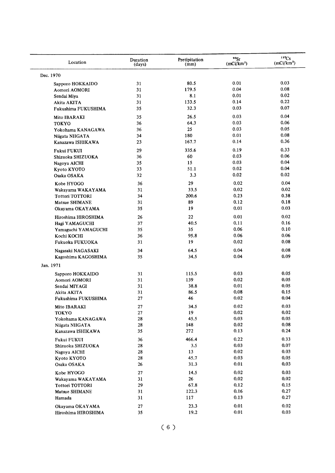| Location                          | Duration<br>(days) | Pretipitation<br>(mm) | 90 <sub>Sr</sub><br>(mCi/km <sup>2</sup> ) | 137Cs<br>(mCi/km <sup>2</sup> ) |
|-----------------------------------|--------------------|-----------------------|--------------------------------------------|---------------------------------|
| Dec. 1970                         |                    |                       |                                            |                                 |
| Sapporo HOKKAIDO                  | 31                 | 80.5                  | 0.01                                       | 0.03                            |
| Aomori AOMORI                     | 31                 | 179.5                 | 0.04                                       | 0.08                            |
| Sendai Miya                       | 31                 | 8.1                   | 0.01                                       | 0.02                            |
| Akita AKITA                       | 31                 | 133.5                 | 0.14                                       | 0.22                            |
| Fukushima FUKUSHIMA               | 35                 | 32.3                  | 0.03                                       | 0.07                            |
| Mito IBARAKI                      | 35                 | 26.5                  | 0.03                                       | 0.04                            |
| <b>TOKYO</b>                      | 36                 | 64.3                  | 0.03                                       | 0.06                            |
| Yokohama KANAGAWA                 | 36                 | 25                    | 0.03                                       | 0.05                            |
| Niigata NIIGATA                   | 34                 | 180                   | 0.01                                       | 0.08                            |
| Kanazawa ISHIKAWA                 | 23                 | 167.7                 | 0.14                                       | 0.36                            |
| Fukui FUKUI                       | 29                 | 335.6                 | 0.19                                       | 0.33                            |
| Shizuoka SHIZUOKA                 | 36                 | 60                    | 0.03                                       | 0.06                            |
| Nagoya AICHI                      | 35                 | 15                    | 0.03                                       | 0.04                            |
| Kyoto KYOTO                       | 33                 | 51.1                  | 0.02                                       | 0.04                            |
| Osaka OSAKA                       | 32                 | 3.3                   | 0.02                                       | 0.02                            |
| Kobe HYOGO                        | 36                 | 29                    | 0.02                                       | 0.04                            |
| Wakayama WAKAYAMA                 | 31                 | 33.5                  | 0.02                                       | 0.02                            |
| <b>Tottori TOTTORI</b>            | 34                 | 200.6                 | 0.23                                       | 0.38                            |
| Matsue SHIMANE                    | 31                 | 89                    | 0.12                                       | 0.18                            |
| Okayama OKAYAMA                   | 35                 | 19                    | 0.01                                       | 0.03                            |
| Hiroshima HIROSHIMA               | 26                 | 22                    | 0.01                                       | 0.02                            |
| Hagi YAMAGUCHI                    | 37                 | 40.5                  | 0.11                                       | 0.16                            |
| Yamaguchi YAMAGUCHI               | 35                 | 35                    | 0.06                                       | 0.10                            |
| Kochi KOCHI                       | 36                 | 95.8                  | 0.06                                       | 0.06                            |
| Fukuoka FUKUOKA                   | 31                 | 19                    | 0.02                                       | 0.08                            |
| Nagasaki NAGASAKI                 | 34                 | 64.5                  | 0.04                                       | 0.08                            |
| Kagoshima KAGOSHIMA               | 35                 | 34.5                  | 0.04                                       | 0.09                            |
| Jan. 1971                         |                    |                       |                                            |                                 |
|                                   | 31                 | 115.5                 | 0.03                                       | 0.05                            |
| Sapporo HOKKAIDO<br>Aomori AOMORI | 31                 | 139                   | 0.02                                       | 0.05                            |
| Sendai MIYAGI                     | 31                 | 38.8                  | 0.01                                       | 0.05                            |
| Akita AKITA                       | 31                 | 86.5                  | 0.08                                       | 0.15                            |
| Fukushima FUKUSHIMA               | 27                 | 46                    | 0.02                                       | 0.04                            |
| Mito IBARAKI                      | $\bf{27}$          | 34.5                  | 0.02                                       | 0.03                            |
| <b>TOKYO</b>                      | 27                 | 19                    | 0.02                                       | $0.02\,$                        |
| Yokohama KANAGAWA                 | ${\bf 28}$         | 45.5                  | 0.03                                       | 0.05                            |
| Niigata NIIGATA                   | 28                 | 148                   | 0.02                                       | 0.08                            |
| Kanazawa ISHIKAWA                 | 35                 | 272                   | 0.13                                       | 0.24                            |
| Fukui FUKUI                       | 36                 | 466.4                 | 0.22                                       | 0.33                            |
| Shizuoka SHIZUOKA                 | 28                 | 3.5                   | 0.03                                       | 0.07                            |
| Nagoya AICHI                      | 28                 | 13                    | 0.02                                       | 0.03                            |
| Kyoto KYOTO                       | 28                 | 45.7                  | 0.03                                       | 0.05                            |
| Osaka OSAKA                       | 26                 | 31.3                  | 0.01                                       | 0.03                            |
| Kobe HYOGO                        | 27                 | 14.5                  | 0.02                                       | 0.03                            |
| Wakayama WAKAYAMA                 | 31                 | 26                    | 0.02                                       | 0.02                            |
| <b>Tottori TOTTORI</b>            | ${\bf 29}$         | 67.8                  | 0.12                                       | 0.15                            |
| Matsue SHIMANE                    | 31                 | 122.3                 | 0.16                                       | 0.27                            |
| Hamada                            | 31                 | 117                   | 0.13                                       | 0.27                            |
| Okayama OKAYAMA                   | 27                 | 23.3                  | 0.01                                       | 0.02                            |
| Hiroshima HIROSHIMA               | 35                 | 19.2                  | 0.01                                       | 0.03                            |
|                                   |                    |                       |                                            |                                 |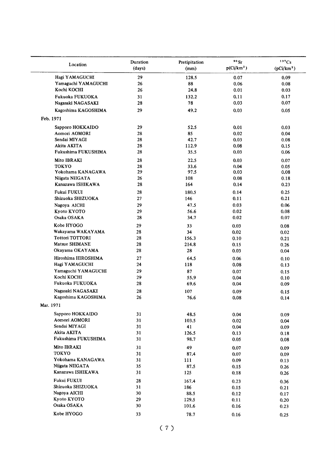| Location                           | Duration<br>(days) | Pretipitation<br>(mm) | $90$ Sr<br>p(Ci/km <sup>2</sup> ) | 137Cs<br>(pCi/km <sup>2</sup> ) |
|------------------------------------|--------------------|-----------------------|-----------------------------------|---------------------------------|
| Hagi YAMAGUCHI                     | 29                 | 128.5                 | 0.07                              | 0.09                            |
| Yamaguchi YAMAGUCHI                | 26                 | 88                    | 0.06                              | 0.08                            |
| Kochi KOCHI                        | 26                 | 24.8                  | 0.01                              | 0.03                            |
| Fukuoka FUKUOKA                    | 31                 | 132.2                 | 0.11                              | 0.17                            |
| Nagasaki NAGASAKI                  | 28                 | 78                    | 0.03                              | 0.07                            |
| Kagoshima KAGOSHIMA                | 29                 | 49.2                  | 0.03                              | 0.05                            |
| Feb. 1971                          |                    |                       |                                   |                                 |
| Sapporo HOKKAIDO                   | 29                 | 52.5                  | 0.01                              | 0.03                            |
| Aomori AOMORI                      | 28                 | 85                    | 0.02                              | 0.04                            |
| Sendai MIYAGI                      | 28                 | 42.7                  | 0.03                              | 0.08                            |
| Akita AKITA                        | 28                 | 112.9                 | 0.08                              | 0.15                            |
| Fukushima FUKUSHIMA                | 28                 | 35.5                  | 0.03                              | 0.06                            |
| Mito IBRAKI                        | 28                 | 22.5                  | 0.03                              | 0.07                            |
| <b>TOKYO</b>                       | 28                 | 33.6                  | 0.04                              | 0.05                            |
| Yokohama KANAGAWA                  | 29                 | 97.5                  | 0.03                              | 0.08                            |
| Niigata NIIGATA                    | 26                 | 108                   | 0.08                              | 0.18                            |
| Kanazawa ISHIKAWA                  | 28                 | 164                   | 0.14                              | 0.23                            |
| Fukui FUKUI                        | 28                 | 180.5                 | 0.14                              | 0.25                            |
| Shizuoka SHIZUOKA                  | 27                 | 146                   | 0.11                              | 0.21                            |
| Nagoya AICHI                       | 29                 | 47.5                  | 0.03                              | 0.06                            |
| Kyoto KYOTO                        | 29                 | 56.6                  | 0.02                              | 0.08                            |
| Osaka OSAKA                        | 28                 | 34.7                  | 0.02                              | 0.07                            |
| Kobe HYOGO                         | 29                 | 33                    | 0.03                              | 0.08                            |
| Wakayama WAKAYAMA                  | 28                 | 34                    | 0.02                              | 0.02                            |
| <b>Tottori TOTTORI</b>             | 28                 | 156.3                 | 0.10                              | 0.21                            |
| Matsue SHIMANE                     | 28                 | 214.8                 | 0.15                              | 0.26                            |
| Okayama OKAYAMA                    | 28                 | 28                    | 0.03                              | 0.04                            |
| Hiroshima HIROSHIMA                | 27                 | 64.5                  | 0.06                              | 0.10                            |
| Hagi YAMAGUCHI                     | 24                 | 118                   | 0.08                              | 0.13                            |
| Yamaguchi YAMAGUCHI                | 29                 | 87                    | 0.07                              | 0.15                            |
| Kochi KOCHI                        | 29                 | 55.9                  | 0.04                              | 0.10                            |
| Fukuoka FUKUOKA                    | 28                 | 69.6                  | 0.04                              | 0.09                            |
| Nagasaki NAGASAKI                  | 28                 | 107                   | 0.09                              | 0.15                            |
| Kagoshima KAGOSHIMA                | 26                 | 76.6                  | 0.08                              | 0.14                            |
| Mar. 1971                          |                    |                       |                                   |                                 |
| Sapporo HOKKAIDO                   | 31                 | 48.5                  | 0.04                              | 0.09                            |
| Aomori AOMORI                      | 31                 | 103.5                 | 0.02                              | 0.04                            |
| Sendai MIYAGI                      | 31                 | 41                    | 0.04                              | 0.09                            |
| Akita AKITA<br>Fukushima FUKUSHIMA | 31<br>31           | 126.5                 | 0.13                              | 0.18                            |
|                                    |                    | 98.7                  | 0.05                              | 0.08                            |
| Mito IBRAKI<br><b>TOKYO</b>        | 31                 | 49                    | 0.07                              | 0.09                            |
| Yokohama KANAGAWA                  | 31                 | 87.4                  | 0.07                              | 0.09                            |
| Niigata NIIGATA                    | 31<br>35           | 111                   | 0.09                              | 0.13                            |
| Kanazawa ISHIKAWA                  | 31                 | 87.5<br>125           | 0.15<br>0.18                      | 0.26<br>0.26                    |
| Fukui FUKUI                        | 28                 |                       |                                   |                                 |
| Shizuoka SHIZUOKA                  | 31                 | 167.4<br>186          | 0.23<br>0.15                      | 0.36                            |
| Nagoya AICHI                       | 30                 | 88.5                  | 0.12                              | 0.21<br>0.17                    |
| Kyoto KYOTO                        | 29                 | 129.5                 | 0.11                              | 0.20                            |
| Osaka OSAKA                        | 30                 | 101.6                 | 0.16                              | 0.23                            |
| Kobe HYOGO                         |                    |                       |                                   |                                 |
|                                    | 33                 | 78.7                  | 0.16                              | 0.25                            |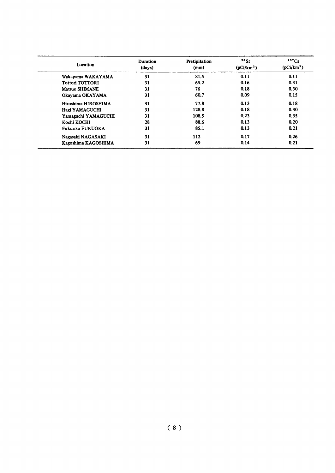| Location               | Duration<br>(days) | Pretipitation<br>(mm) | "<br>(pCi/km <sup>2</sup> ) | 137Cs<br>(pCi/km <sup>2</sup> ) |
|------------------------|--------------------|-----------------------|-----------------------------|---------------------------------|
| Wakayama WAKAYAMA      | 31                 | 81.5                  | 0.11                        | 0.11                            |
| <b>Tottori TOTTORI</b> | 31                 | 65.2                  | 0.16                        | 0.31                            |
| Matsue SHIMANE         | 31                 | 76                    | 0.18                        | 0.30                            |
| Okayama OKAYAMA        | 31                 | 60.7                  | 0.09                        | 0.15                            |
| Hiroshima HIROSHIMA    | 31                 | 77.8                  | 0.13                        | 0.18                            |
| Hagi YAMAGUCHI         | 31                 | 128.8                 | 0.18                        | 0.30                            |
| Yamaguchi YAMAGUCHI    | 31                 | 108.5                 | 0.23                        | 0.35                            |
| Kochi KOCHI            | 28                 | 88.6                  | 0.13                        | 0.20                            |
| <b>Fukuoka FUKUOKA</b> | 31                 | 85.1                  | 0.13                        | 0.21                            |
| Nagasaki NAGASAKI      | 31                 | 112                   | 0.17                        | 0.26                            |
| Kagoshima KAGOSHIMA    | 31                 | 69                    | 0.14                        | 0.21                            |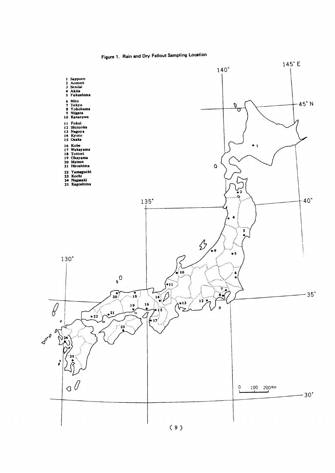

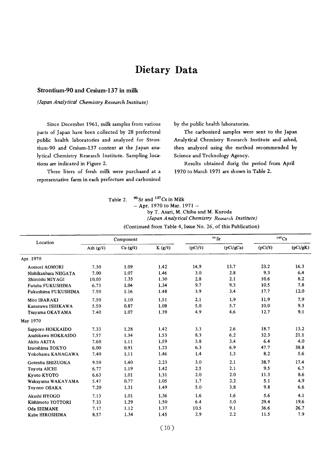## Dietary Data

#### Strontium-90 and Cesium-137 in milk

#### (Japan Analytical Chemistry Research Institute)

Since December 1961, milk samples from various parts of Japan have been collected by 28 prefectural public health laboratories and analyzed for Strontium-90 and Cesium-137 content at the Japan analytical Chemistry Research Institute. Sampling locations are indicated in Figure 2.

Three liters of fresh milk were purchased at a representative farm in each prefecture and carbonized by the public health laboratories.

The carbonized samples were sent to the Japan Analytical Chemistry Research Institute and ashed, then analyzed using the method recommended by Science and Technology Agency.

Results obtained durig the period from April 1970 to March 1971 are shown in Table 2.

| Table 2. | $90$ Sr and $137$ Cs in Milk                                  |
|----------|---------------------------------------------------------------|
|          | $-$ Apr. 1970 to Mar. 1971 $-$                                |
|          | by T. Asari, M. Chiba and M. Kuroda                           |
|          | (Japan Analytical Chemistry Research Institute)               |
|          | $(Continued from Table A)$ Leona No. $26$ of this Publication |

 $\overline{1}$ 

(Continued from Table 4, Issue No. 26, of this Publication)

| Location             |             | Component    |             |              | 90 Sr     |              | 137Cs    |
|----------------------|-------------|--------------|-------------|--------------|-----------|--------------|----------|
|                      | Ash $(g/g)$ | $Ca(g/\ell)$ | $K(g/\ell)$ | $(pCi/\ell)$ | (pCi/gCa) | $(pCi/\ell)$ | (pCi/gK) |
| Apr. 1970            |             |              |             |              |           |              |          |
| Aomori AOMORI        | 7.30        | 1.09         | 1.42        | 14.9         | 13.7      | 23.2         | 16.3     |
| Nishikanbara NIIGATA | 7.00        | 1.07         | 1.46        | 3.0          | 2.8       | 9.3          | 6.4      |
| Shiroishi MIYAGI     | 10.03       | 1.35         | 1.30        | 2.8          | 2.1       | 10.6         | 8.2      |
| Futaba FUKUSHIMA     | 6.73        | 1.04         | 1.34        | 9.7          | 9.3       | 10.5         | 7.8      |
| Fukushima FUKUSHIMA  | 7.50        | 1.16         | 1.48        | 3.9          | 3.4       | 17.7         | 12.0     |
| Mito IBARAKI         | 7.50        | 1.10         | 1.51        | 2.1          | 1.9       | 11.9         | 7.9      |
| Kanazawa ISHIKAWA    | 5.50        | 0.87         | 1.08        | 5.0          | 5.7       | 10.0         | 9.3      |
| Tsuyama OKAYAMA      | 7.40        | 1.07         | 1.39        | 4.9          | 4.6       | 12.7         | 9.1      |
| May 1970             |             |              |             |              |           |              |          |
| Sapporo HOKKAIDO     | 7.33        | 1.28         | 1.42        | 3.3          | 2.6       | 18.7         | 13.2     |
| Asahikawa HOKKAIDO   | 7.57        | 1.34         | 1.53        | 8.3          | 6.2       | 32.3         | 21.1     |
| Akita AKITA          | 7.60        | 1.11         | 1.59        | 3.8          | 3.4       | 6.4          | 4.0      |
| Izuoshima TOKYO      | 6.00        | 0.91         | 1.23        | 6.3          | 6.9       | 47.7         | 38.8     |
| Yokohama KANAGAWA    | 7.40        | 1.11         | 1.46        | 1.4          | 1.3       | 8.2          | 5.6      |
| Gotenba SHIZUOKA     | 9.50        | 1.40         | 2.23        | 3.0          | 2.1       | 38.7         | 17.4     |
| <b>Toyota AICHI</b>  | 6.77        | 1.19         | 1.42        | 2.5          | 2.1       | 9.5          | 6.7      |
| Kyoto KYOTO          | 6.63        | 1.01         | 1.31        | 2.0          | 2.0       | 11.3         | 8.6      |
| Wakayama WAKAYAMA    | 5.47        | 0.77         | 1.05        | 1.7          | 2.2       | 5.1          | 4.9      |
| Toyono OSAKA         | 7.20        | 1.31         | 1.49        | 5.0          | 3.8       | 9.8          | 6.6      |
| Akashi HYOGO         | 7.13        | 1.01         | 1.36        | 1.6          | 1.6       | 5.6          | 4.1      |
| Kishimoto TOTTORI    | 7.33        | 1.29         | 1.50        | 6.4          | 5.0       | 29.4         | 19.6     |
| Oda SHIMANE          | 7.17        | 1.12         | 1.37        | 10.5         | 9.1       | 36.6         | 26.7     |
| Kabe HIROSHIMA       | 8.57        | 1.34         | 1.45        | 2.9          | 2.2       | 11.5         | 7.9      |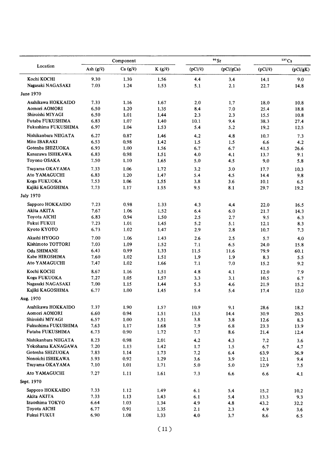|                      |                | Component |        |         | $90$ Sr   |              | 137Cs    |
|----------------------|----------------|-----------|--------|---------|-----------|--------------|----------|
| Location             | Ash $(g/\ell)$ | Ca(g/g)   | K(g/g) | (pCi/2) | (pCi/gCa) | $(pCi/\ell)$ | (pCi/gK) |
| Kochi KOCHI          | 9.30           | 1.30      | 1.56   | 4.4     | 3.4       | 14.1         | 9.0      |
| Nagasaki NAGASAKI    | 7.03           | 1.24      | 1.53   | 5.1     | 2.1       | 22.7         | 14.8     |
| June 1970            |                |           |        |         |           |              |          |
| Asahikawa HOKKAIDO   | 7.33           | 1.16      | 1.67   | 2.0     | 1.7       | 18.0         | 10.8     |
| Aomori AOMORI        | 6.50           | 1.20      | 1.35   | 8.4     | 7.0       | 25.4         | 18.8     |
| Shiroishi MIYAGI     | 6.50           | 1.01      | 1.44   | 2.3     | 2.3       | 15.5         | 10.8     |
| Futaba FUKUSHIMA     | 6.83           | 1.07      | 1.40   | 10.1    | 9.4       | 38.3         | 27.4     |
| Fukushima FUKUSHIMA  | 6.97           | 1.04      | 1.53   | 5.4     | 5.2       | 19.2         | 12.5     |
| Nishikanbara NIIGATA | 6.27           | 0.87      | 1.46   | 4.2     | 4.8       | 10.7         | 7.3      |
| Mito IBARAKI         | 6.53           | 0.98      | 1.42   | 1.5     | 1.5       | 6.6          | 4.2      |
| Gotenba SHIZUOKA     | 6.93           | 1.00      | 1.56   | 6.7     | 6.7       | 41.5         | 26.6     |
| Kanazawa ISHIKAWA    | 6.83           | 0.98      | 1.51   | 4.0     | 4.1       | 13.7         | 9.1      |
| Toyono OSAKA         | 7.50           | 1.10      | 1.65   | 5.0     | 4.5       | 9.0          | 5.8      |
| Tsuyama OKAYAMA      | 7.33           | 1.06      | 1.72   | 3.2     | 3.0       | 17.7         | 10.3     |
| Ato YAMAGUCHI        | 6.83           | 1.20      | 1.47   | 5.4     | 4.5       | 14.4         | 9.8      |
| Koga FUKUOKA         | 7.53           | 1.06      | 1.55   | 3,8     | 3.6       | 10.1         | 6.5      |
| Kajiki KAGOSHIMA     | 7.73           | 1.17      | 1.55   | 9.5     | 8.1       | 29.7         | 19.2     |
| <b>July 1970</b>     |                |           |        |         |           |              |          |
| Sapporo HOKKAIDO     | 7.23           | 0.98      | 1.33   | 4.3     | 4.4       | 22.0         | 16.5     |
| Akita AKITA          | 7.67           | 1.06      | 1.52   | 6.4     | 6.0       | 21.7         | 14.3     |
| Toyota AICHI         | 6.83           | 0.94      | 1.50   | 2.5     | 2.7       | 9.5          | 6.3      |
| Fukui FUKUI          | 7.23           | 1.01      | 1.45   | 5.2     | 5.1       | 12.1         | 8.3      |
| Kyoto KYOTO          | 6.73           | 1.02      | 1.47   | 2.9     | 2.8       | 10.7         | 7.3      |
| Akashi HYOGO         | 7.00           | 1.06      | 1.43   | 2.6     | 2.5       | 5.7          | 4.0      |
| Kishimoto TOTTORI    | 7.03           | 1.09      | 1.52   | 7.1     | 6.5       | 24.0         | 15.8     |
| <b>Oda SHIMANE</b>   | 6.43           | 0.99      | 1.33   | 11.5    | 11.6      | 79.9         | 60.1     |
| Kabe HIROSHIMA       | 7.60           | 1.02      | 1.51   | 1.9     | 1.9       | 8.3          | 5.5      |
| <b>Ato YAMAGUCHI</b> | 7.47           | 1.02      | 1.66   | 7.1     | 7.0       | 15.2         | 9,2      |
| Kochi KOCHI          | 8.67           | 1.16      | 1.51   | 4.8     | 4.1       | 12.0         | 7.9      |
| Koga FUKUOKA         | 7.27           | 1.05      | 1.57   | 3.3     | 3.1       | 10.5         | 6.7      |
| Nagasaki NAGASAKI    | 7.00           | 1.15      | 1.44   | 5.3     | 4.6       | 21.9         | 15.2     |
| Kajiki KAGOSHIMA     | 6.77           | 1.00      | 1.45   | 5.4     | 5.4       | 17.4         | 12.0     |
| Aug. 1970            |                |           |        |         |           |              |          |
| Asahikawa HOKKAIDO   | 7.37           | 1.90      | 1.57   | 10.9    | 9.1       | 28.6         | 18.2     |
| Aomori AOMORI        | 6.60           | 0.94      | 1.51   | 13.5    | 14.4      | 30.9         | 20.5     |
| Shiroishi MIYAGI     | 6.57           | 1.00      | 1.51   | 3.8     | 3.8       | 12.6         | 8.3      |
| Fukushima FUKUSHIMA  | 7.63           | 1.17      | 1.68   | 7.9     | 6.8       | 23.3         | 13.9     |
| Futaba FUKUSHIMA     | 6.73           | 0.90      | 1.72   | 7.7     | 8.6       | 21.4         | 12.4     |
| Nishikanbara NIIGATA | 8.23           | 0.98      | 2.01   | 4.2     | 4.3       | 7.2          | 3.6      |
| Yokohama KANAGAWA    | 7.20           | 1.13      | 1.42   | 1.7     | 1.5       | 6.7          | 4.7      |
| Gotenba SHIZUOKA     | 7.83           | 1.14      | 1.73   | 7.2     | 6.4       | 63.9         | 36.9     |
| Nonoichi ISHIKAWA    | 5.93           | 0.92      | 1.29   | 3,6     | 3.9       | 12.1         | 9.4      |
| Tsuyama OKAYAMA      | 7.10           | 1.01      | 1.71   | 5.0     | 5.0       | 12.9         | 7.5      |
| Ato YAMAGUCHI        | 7.27           | 1.11      | 1.61   | 7.3     | 6.6       | 6.6          | 4.1      |
| Sept. 1970           |                |           |        |         |           |              |          |
| Sapporo HOKKAIDO     | 7.33           | 1.12      | 1.49   | 6.1     | 5.4       | 15.2         | 10.2     |
| Akita AKITA          | 7.33           | 1.13      | 1.43   | 6.1     | 5.4       | 13.3         | 9.3      |
| Izuoshima TOKYO      | 6.64           | 1.03      | 1.34   | 4.9     | 4.8       | 43.2         | 32.2     |
| Toyota AICHI         | 6.77           | 0.91      | 1.35   | 2.1     | 2.3       | 4.9          | 3.6      |
| Fukui FUKUI          | 6.90           | 1.08      | 1.33   | 4.0     | 3.7       | 8.6          | 6.5      |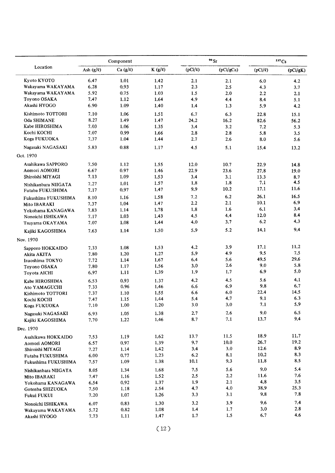|                      |             | Component     |             |              | 90 <sub>Sr</sub> |              | 137C <sub>S</sub> |
|----------------------|-------------|---------------|-------------|--------------|------------------|--------------|-------------------|
| Location             | Ash $(g/g)$ | Ca $(g/\ell)$ | $K(g/\ell)$ | $(pCi/\ell)$ | (pCi/gCa)        | $(pCi/\ell)$ | (pCi/gK)          |
| Kyoto KYOTO          | 6.47        | 1.01          | 1.42        | 2.1          | 2.1              | 6.0          | 4.2               |
| Wakayama WAKAYAMA    | 6.28        | 0.93          | 1.17        | 2.3          | 2.5              | 4.3          | 3.7               |
| Wakayama WAKAYAMA    | 5.92        | 0.75          | 1.03        | 1.5          | 2.0              | 2.2          | 2.1               |
| Toyono OSAKA         | 7.47        | 1.12          | 1.64        | 4.9          | 4.4              | 8.4          | 5.1               |
| Akashi HYOGO         | 6.90        | 1.09          | 1.40        | 1.4          | 1.3              | 5.9          | 4.2               |
| Kishimoto TOTTORI    | 7.10        | 1,06          | 1.51        | 6.7          | 6.3              | 22.8         | 15.1              |
| Oda SHIMANE          | 8.27        | 1.49          | 1.47        | 24.2         | 16.2             | 82.6         | 56.2              |
| Kabe HIROSHIMA       | 7.03        | 1.06          | 1.35        | 3,4          | 3.2              | 7.2          | 5.3               |
| Kochi KOCHI          | 7.07        | 0.99          | 1.66        | 2.8          | 2.8              | 5.8          | 3.5               |
| Koga FUKUOKA         | 7.37        | 1.04          | 1.44        | 2.7          | 2.6              | 8.0          | 5.6               |
| Nagasaki NAGASAKI    | 5.83        | 0.88          | 1.17        | 4.5          | 5.1              | 15.4         | 13.2              |
| Oct. 1970            |             |               |             |              |                  |              |                   |
| Asahikawa SAPPORO    | 7.50        | 1.12          | 1.55        | 12.0         | 10.7             | 22.9         | 14.8              |
| Aomori AOMORI        | 6.67        | 0.97          | 1.46        | 22.9         | 23.6             | 27.8         | 19.0              |
| Shiroishi MIYAGI     | 7.13        | 1.09          | 1.53        | 3.4          | 3.1              | 13.3         | 8.7               |
| Nishikanbara NIIGATA | 7.27        | 1.01          | 1.57        | 1.8          | 1.8              | 7.1          | 4.5               |
| Futaba FUKUSHIMA     | 7.17        | 0.97          | 1.47        | 9.9          | 10.2             | 17.1         | 11.6              |
| Fukushima FUKUSHIMA  | 8.10        | 1.16          | 1.58        | 7.2          | 6.2              | 26.1         | 16.5              |
| Mito IBARAKI         | 7.37        | 1.04          | 1.47        | 2.2          | 2.1              | 10.1         | 6.9               |
| Yokohama KANAGAWA    | 7.83        | 1.14          | 1.78        | 1.8          | 1.6              | 6.1          | 3.4               |
| Nonoichi ISHIKAWA    | 7.17        | 1.03          | 1.43        | 4.5          | 4.4              | 12.0         | 8.4               |
| Tsuyama OKAYAMA      | 7.07        | 1.08          | 1.44        | 4.0          | 3,7              | 6.2          | 4.3               |
| Kajiki KAGOSHIMA     | 7.63        | 1.14          | 1.50        | 5.9          | 5.2              | 14.1         | 9.4               |
| Nov. 1970            |             |               |             |              |                  |              |                   |
| Sapporo HOKKAIDO     | 7.33        | 1.08          | 1.53        | 4.2          | 3.9              | 17.1         | 11.2              |
| Akita AKITA          | 7.80        | 1.20          | 1.27        | 5.9          | 4.9              | 9.5          | 7.5               |
| Izuoshima TOKYO      | 7.72        | 1.14          | 1.67        | 6.4          | 5.6              | 49.5         | 29.6              |
| Toyono OSAKA         | 7.80        | 1.17          | 1.56        | 3.0          | 2.6              | 9.0          | 5.8               |
| Toyota AICHI         | 6.97        | 1.11          | 1.39        | 1.9          | 1.7              | 6.9          | 5.0               |
| Kabe HIROSHIMA       | 6.53        | 0.93          | 1.37        | 4.2          | 4.5              | 5.6          | 4.1               |
| Ato YAMAGUCHI        | 7.33        | 0.96          | 1.46        | 6.6          | 6.9              | 9.8          | 6.7               |
| Kishimoto TOTTORI    | 7.37        | 1.10          | 1.55        | 6.6          | 6.0              | 22.4         | 14.5              |
| Kochi KOCHI          | 7.47        | 1.15          | 1.44        | 5.4          | 4.7              | 9.1          | 6.3               |
| Koga FUKUOKA         | 7.10        | 1.00          | 1.20        | $3.0\,$      | $3.0\,$          | 7.1          | 5.9               |
| Nagasaki NAGASAKI    | 6.93        | 1.05          | 1.38        | 2.7          | 2.6              | 9.0          | 6.5               |
| Kajiki KAGOSHIMA     | 7.70        | 1.22          | 1.46        | 8.7          | 7.1              | 13.7         | 9,4               |
| Dec. 1970            |             |               |             |              |                  |              |                   |
| Asahikawa HOKKAIDO   | 7.53        | 1.19          | 1.62        | 13.7         | 11.5             | 18.9         | 11.7              |
| Aomori AOMORI        | 6.57        | 0.97          | 1.39        | 9.7          | 10.0             | 26.7         | 19.2              |
| Shiroishi MIYAGI     | 7.27        | 1.14          | 1.42        | 3.4          | 3.0              | 12.6         | 8.9               |
| Futaba FUKUSHIMA     | 6.00        | 0.77          | 1.23        | 6.2          | 8.1              | 10.2         | 8.3               |
| Fukushima FUKUSHIMA  | 7.57        | 1.09          | 1.38        | 10.1         | 9.3              | 11.8         | 8.5               |
| Nishikanbara NIIGATA | 8.05        | 1.34          | 1.68        | 7.5          | 5.6              | 9.0          | 5.4               |
| Mito IBARAKI         | 7.47        | 1.16          | 1.52        | 2.5          | 2.2              | 11.6         | 7.6               |
| Yokohama KANAGAWA    | 6.54        | 0.92          | 1.37        | 1.9          | 2.1              | 4.8          | 3.5               |
| Gotenba SHIZUOKA     | 7.50        | 1.18          | 1.54        | 4.7          | 4.0              | 38.9         | 25.3              |
| Fukui FUKUI          | 7.20        | 1.07          | 1.26        | 3.3          | 3.1              | 9.8          | 7.8               |
| Nonoichi ISHIKAWA    | 6.07        | 0.83          | 1.30        | 3.2          | 3.9              | 9.6          | 7.4               |
| Wakayama WAKAYAMA    | 5.72        | 0.82          | 1.08        | 1.4          | 1.7              | 3.0          | 2,8               |
| Akashi HYOGO         | 7.73        | 1.11          | 1.47        | 1.7          | 1.5              | 6.7          | 4.6               |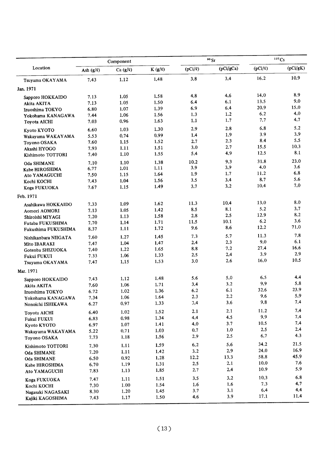|                                 |                | Component       |             |              | $90$ Sr   |              | 137Cs    |
|---------------------------------|----------------|-----------------|-------------|--------------|-----------|--------------|----------|
| Location                        | Ash $(g/\ell)$ | Ca $(g/g)$      | $K(g/\ell)$ | $(pCi/\ell)$ | (pCi/gCa) | $(pCi/\ell)$ | (pCi/gK) |
| Tsuyama OKAYAMA                 | 7.43           | 1.12            | 1,48        | 3.8          | 3.4       | 16.2         | 10.9     |
| Jan. 1971                       |                |                 |             |              |           |              |          |
| Sapporo HOKKAIDO                | 7.13           | 1.05            | 1.58        | 4,8          | 4.6       | 14.0         | 8.9      |
| Akita AKITA                     | 7.13           | 1.05            | 1.50        | 6.4          | 6.1       | 13.5         | 9.0      |
| Izuoshima TOKYO                 | 6.80           | 1.07            | 1.39        | 6.9          | 6.4       | 20.9         | 15.0     |
| Yokohama KANAGAWA               | 7.44           | 1.06            | 1.56        | 1.3          | 1,2       | 6.2          | 4.0      |
| Toyota AICHI                    | 7.03           | 0.96            | 1.63        | 1.1          | 1.7       | 7.7          | 4.7      |
| Kyoto KYOTO                     | 6.60           | 1.03            | 1.30        | 2.9          | 2.8       | 6.8          | 5.2      |
| Wakayama WAKAYAMA               | 5.53           | 0.74            | 0.99        | 1.4          | 1.9       | 3.9          | 3.9      |
| Toyono OSAKA                    | 7.60           | 1.15            | 1.52        | 2.7          | 2.3       | 8.4          | 5.5      |
| Akashi HYOGO                    | 7.93           | 1.11            | 1.51        | 3.0          | 2.7       | 15.5         | 10.3     |
| Kishimoto TOTTORI               | 7.40           | 1.10            | 1.55        | 5.4          | 4.9       | 12.5         | 8.1      |
| Oda SHIMANE                     | 7.10           | 1.10            | 1.38        | 10.2         | 9.3       | 31.8         | 23.0     |
| Kabe HIROSHIMA                  | 6.77           | 1.01            | 1.11        | 3.9          | 3.9       | 4.0          | 3.6      |
| Ato YAMAGUCHI                   | 7.50           | 1.15            | 1.64        | 1.9          | 1.7       | 11.2         | 6.8      |
| Kochi KOCHI                     | 7.43           | 1.04            | 1.56        | 3.5          | 3.4       | 8.7          | 5.6      |
| Koga FUKUOKA                    | 7.67           | 1.15            | 1.49        | 3.7          | 3,2       | 10.4         | 7.0      |
| Feb. 1971                       |                |                 |             |              |           |              |          |
| Asahikawa HOKKAIDO              | 7.33           | 1.09            | 1.62        | 11.3         | 10.4      | 13.0         | 8.0      |
| Aomori AOMORI                   | 7.13           | 1.05            | 1.42        | 8.5          | 8.1       | 5.2          | 3.7      |
| Shiroishi MIYAGI                | 7.20           | 1.13            | 1.58        | 2.8          | 2.5       | 12.9         | 8.2      |
| Futaba FUKUSHIMA                | 7.70           | 1.14            | 1.71        | 11.5         | 10.1      | 6.2          | 3.6      |
| Fukushima FUKUSHIMA             | 8.37           | 1.11            | 1.72        | 9.6          | 8.6       | 12.2         | 71.0     |
| Nishikanbara NIIGATA            | 7.60           | 1.27            | 1.45        | 7.3          | 5.7       | 11.3         | 7.8      |
| Mito IBARAKI                    | 7.47           | 1.04            | 1.47        | 2.4          | 2.3       | 9.0          | 6.1      |
| Gotenba SHIZUOKA                | 7.40           | 1.22            | 1.65        | 8.8          | 7.2       | 27.4         | 16.6     |
| Fukui FUKUI                     | 7.33           | 1.06            | 1.33        | 2.5          | 2.4       | 3.9          | 2.9      |
| Tsuyama OKAYAMA                 | 7.47           | 1.15            | 1.53        | 3.0          | 2.6       | 16.0         | 10.5     |
| Mar. 1971                       |                |                 |             |              |           |              |          |
| Sapporo HOKKAIDO                | 7.43           | 1.12            | 1.48        | 5.6          | 5.0       | 6.5          | 4.4      |
| Akita AKITA                     | 7.60           | 1.06            | 1.71        | 3,4          | 3.2       | 9.9          | 5.8      |
| Izuoshima TOKYO                 | 6.72           | 1.02            | 1.36        | 6.2          | 6.1       | 32.6         | 23.9     |
| Yokohama KANAGAWA               | 7.34           | 1.06            | 1.64        | 2.3          | 2,2       | 9.6          | 5.9      |
| Nonoichi ISHIKAWA               | 6.27           | 0.97            | 1.33        | 3.4          | 3.6       | 9.8          | 7.4      |
| Toyota AICHI                    | 6.40           | 1.02            | 1.52        | 2.1          | 2.1       | 11.2         | 7.4      |
| Fukui FUKUI                     | 6.83           | 0.98            | 1.34        | 4.4          | 4.5       | 9.9          | 7.4      |
| Kyoto KYOTO                     | 6.97           | 1.07            | 1.41        | 4.0          | 3.7       | 10.5         | 7.4      |
| Wakayama WAKAYAMA               | 5.22           | 0.71            | 1.03        | 0.7          | $1.0\,$   | 2.5          | 2.4      |
| Toyono OSAKA                    | 7.73           | 1.18            | 1.56        | 2.9          | 2.5       | 6.7          | 4.3      |
| Kishimoto TOTTORI               | 7.30           | 1.11            | 1.59        | 6.2          | 5.6       | 34.2         | 21.5     |
|                                 | 7.20           | 1.11            | 1.42        | 3.2          | 2.9       | 24.0         | 16.9     |
| Oda SHIMANE                     | 6.50           | $\mathbf{0.92}$ | 1.28        | 12.2         | 13.3      | 58.8         | 45.9     |
| Oda SHIMANE                     | 6.70           | 1.19            | 1.31        | 2.5          | 2.1       | 10.0         | 7.6      |
| Kabe HIROSHIMA<br>Ato YAMAGUCHI | 7.83           | 1.13            | 1.85        | 2.7          | 2.4       | 10.9         | 5.9      |
|                                 |                | 1.11            | 1.51        | 3.5          | 3,2       | 10,3         | 6.8      |
| Koga FUKUOKA                    | 7.47<br>7.30   | 1.00            | 1.54        | 1.6          | 1.6       | 7.3          | 4.7      |
| Kochi KOCHI                     | 8.30           | 1.20            | 1.45        | 3.7          | 3.1       | 6.4          | 4.4      |
| Nagasaki NAGASAKI               | 7.43           | 1.17            | 1.50        | 4.6          | 3.9       | 17.1         | 11.4     |
| Kajiki KAGOSHIMA                |                |                 |             |              |           |              |          |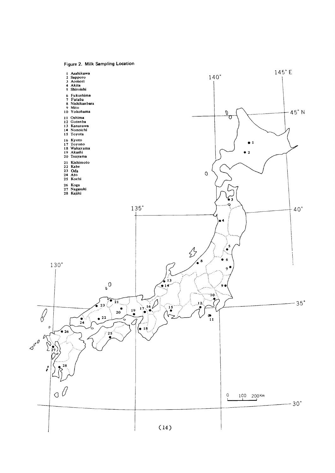Figure 2. Milk Sampling Location

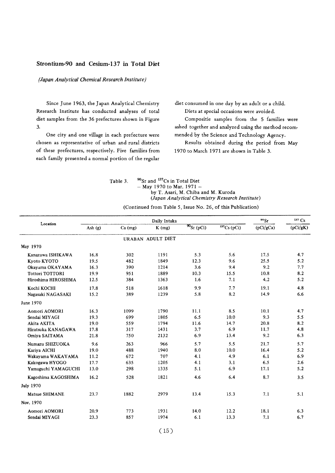#### Strontium-90 and Cesium-137 in Total Diet

#### (Japan Analytical Chemical Research Institute)

Since June 1963, the Japan Analytical Chemistry Research Institute has conducted analyses of total diet samples from the 36 prefectures shown in Figure  $3.$ 

One city and one village in each prefecture were chosen as representative of urban and rural districts of these prefectures, respectively. Five families from each family presented a normal portion of the regular

diet consumed in one day by an adult or a child. Diets at special occasions were avoided.

Compositie samples from the 5 families were ashed together and analyzed using the method recommended by the Science and Technology Agency.

Results obtained during the period from May 1970 to March 1971 are shown in Table 3.

90Sr and <sup>137</sup>Cs in Total Diet Table 3. - May 1970 to Mar. 1971 by T. Asari, M. Chiba and M. Kuroda (Japan Analytical Chemistry Research Institute)

| (Continued from Table 5, Issue No. 26, of this Publication) |  |
|-------------------------------------------------------------|--|
|-------------------------------------------------------------|--|

| Location               |         |           | Daily Intaka      |                      |               | $90$ Sr   | 137 Cs   |
|------------------------|---------|-----------|-------------------|----------------------|---------------|-----------|----------|
|                        | Ash (g) | $Ca$ (mg) | $K$ (mg)          | $\frac{90}{ST(pCi)}$ | $137Cs$ (pCi) | (pCi/gCa) | (pCi/gK) |
|                        |         |           | URABAN ADULT DIET |                      |               |           |          |
| May 1970               |         |           |                   |                      |               |           |          |
| Kanazawa ISHIKAWA      | 16.8    | 302       | 1191              | 5.3                  | 5.6           | 17.5      | 4.7      |
| Kvoto KYOTO            | 19.5    | 482       | 1849              | 12.3                 | 9.6           | 25.5      | 5.2      |
| Okayama OKAYAMA        | 16.3    | 390       | 1214              | 3.6                  | 9.4           | 9.2       | 7.7      |
| <b>Tottori TOTTORI</b> | 19.9    | 951       | 1889              | 10.3                 | 15.5          | 10.8      | 8.2      |
| Hiroshima HIROSHIMA    | 12.5    | 384       | 1363              | 1.6                  | 7.1           | 4.2       | 5.2      |
| Kochi KOCHI            | 17.8    | 518       | 1618              | 9.9                  | 7.7           | 19.1      | 4.8      |
| Nagasaki NAGASAKI      | 15.2    | 389       | 1239              | 5.8                  | 8.2           | 14.9      | 6.6      |
| June 1970              |         |           |                   |                      |               |           |          |
| Aomori AOMORI          | 16.3    | 1099      | 1790              | 11.1                 | 8.5           | 10.1      | 4.7      |
| Sendai MIYAGI          | 19.3    | 699       | 1805              | 6.5                  | 10.0          | 9.3       | 5.5      |
| Akita AKITA            | 19.0    | 559       | 1794              | 11.6                 | 14.7          | 20.8      | 8.2      |
| Hiratsuka KANAGAWA     | 17.8    | 317       | 1431              | 3.7                  | 6.9           | 11.7      | 4.8      |
| Omiya SAITAMA          | 21.8    | 750       | 2132              | 6.9                  | 13.4          | 9.2       | 6.3      |
| Numazu SHIZUOKA        | 9.6     | 263       | 966               | 5.7                  | 5.5           | 21.7      | 5.7      |
| Kariya AICHI           | 19.0    | 488       | 1940              | 8.0                  | 10.0          | 16.4      | 5.2      |
| Wakayama WAKAYAMA      | 11.2    | 672       | 707               | 4.1                  | 4.9           | 6.1       | 6.9      |
| Kakogawa HYOGO         | 17.7    | 635       | 1205              | 4.1                  | 3.1           | 6.5       | 2.6      |
| Yamaguchi YAMAGUCHI    | 13.0    | 298       | 1335              | 5.1                  | 6.9           | 17.1      | 5.2      |
| Kagoshima KAGOSHIMA    | 16.2    | 528       | 1821              | 4.6                  | 6.4           | 8.7       | 3.5      |
| <b>July 1970</b>       |         |           |                   |                      |               |           |          |
| Matsue SHIMANE         | 23.7    | 1882      | 2979              | 13.4                 | 15.3          | 7.1       | 5.1      |
| Nov. 1970              |         |           |                   |                      |               |           |          |
| Aomori AOMORI          | 20.9    | 773       | 1931              | 14.0                 | 12.2          | 18.1      | 6.3      |
| Sendai MIYAGI          | 23.3    | 857       | 1974              | 6.1                  | 13.3          | 7.1       | 6.7      |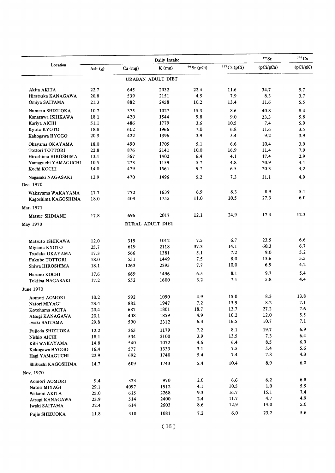|                        |         |           | Daily Intake      |             |               | 90 <sub>St</sub> | 137 Cs   |
|------------------------|---------|-----------|-------------------|-------------|---------------|------------------|----------|
| Location               | Ash (g) | $Ca$ (mg) | $K$ (mg)          | 90 Sr (pCi) | $137Cs$ (pCi) | (pCi/gCa)        | (pCi/gK) |
|                        |         |           | URABAN ADULT DIET |             |               |                  |          |
| Akita AKITA            | 22.7    | 645       | 2032              | 22.4        | 11.6          | 34.7             | 5.7      |
| Hiratsuka KANAGAWA     | 20.8    | 539       | 2151              | 4.5         | 7.9           | 8.3              | 3.7      |
| Omiya SAITAMA          | 21.3    | 882       | 2458              | 10.2        | 13.4          | 11.6             | 5.5      |
| Numazu SHIZUOKA        | 10.7    | 375       | 1027              | 15.3        | 8.6           | 40.8             | 8.4      |
| Kanazawa ISHIKAWA      | 18.1    | 420       | 1544              | 9.8         | 9.0           | 23.3             | 5.8      |
| Kariya AICHI           | 51.1    | 486       | 1779              | 3.6         | 10.5          | 7.4              | 5.9      |
| Kyoto KYOTO            | 18.8    | 602       | 1966              | 7.0         | 6.8           | 11.6             | 3.5      |
| Kakogawa HYOGO         | 20.5    | 422       | 1396              | 3.9         | 5.4           | 9.2              | 3.9      |
| Okayama OKAYAMA        | 18.0    | 490       | 1705              | 5.1         | 6.6           | 10.4             | 3.9      |
| <b>Tottori TOTTORI</b> | 22.8    | 876       | 2141              | 10.0        | 16.9          | 11.4             | 7.9      |
| Hiroshima HIROSHIMA    | 13.1    | 367       | 1402              | 6.4         | 4.1           | 17.4             | 2.9      |
| Yamaguchi YAMAGUCHI    | 10.5    | 273       | 1159              | 5.7         | 4.8           | 20.9             | 4.1      |
| Kochi KOCHI            | 14.0    | 479       | 1561              | 9.7         | 6.5           | 20.3             | 4.2      |
| Nagasaki NAGASAKI      | 12.9    | 470       | 1496              | 5.2         | 7.3           | 11.1             | 4.9      |
| Dec. 1970              |         |           |                   |             |               |                  |          |
| Wakayama WAKAYAMA      | 17.7    | 772       | 1639              | 6.9         | 8.3           | 8.9              | 5.1      |
| Kagoshima KAGOSHIMA    | 18.0    | 403       | 1755              | 11.0        | 10.5          | 27.3             | 6.0      |
| Mar. 1971              |         |           |                   |             |               |                  |          |
| Matsue SHIMANE         | 17.8    | 696       | 2017              | 12.1        | 24.9          | 17.4             | 12.3     |
| May 1970               |         |           | RURAL ADULT DIET  |             |               |                  |          |
|                        |         |           |                   |             |               |                  |          |
| Matsuto ISHIKAWA       | 12.0    | 319       | 1012              | 7.5         | 6.7           | 23.5             | 6.6      |
| Miyama KYOTO           | 25.7    | 619       | 2118              | 37.3        | 14.1          | 60.3             | 6.7      |
| Tsudaka OKAYAMA        | 17.3    | 566       | 1381              | 5.1         | 7.2           | 9.0              | 5.2      |
| Fukube TOTTORI         | 18.0    | 551       | 1449              | 7.5         | 8.0           | 13.6             | 5.5      |
| Shiwa HIROSHIMA        | 18.1    | 1263      | 2395              | 7.7         | 10.0          | 6.9              | 4.2      |
| Haruno KOCHI           | 17.6    | 669       | 1496              | 6.5         | 8.1           | 9.7              | 5.4      |
| Tokitsu NAGASAKI       | 17.2    | 552       | 1600              | 3.2         | 7.1           | 5.8              | 4.4      |
| June 1970              |         |           |                   |             |               |                  |          |
| Aomori AOMORI          | 10.2    | 592       | 1090              | 4.9         | 15.0          | 8.3              | 13.8     |
| Natori MIYAGI          | 23.4    | 882       | 1947              | 7.2         | 13.9          | 8.2              | 7.1      |
| Kotohama AKITA         | 20.4    | 687       | 1801              | 18.7        | 13.7          | 27.2             | 7.6      |
| Atsugi KANAGAWA        | 20.1    | 408       | 1859              | 4.9         | $10.2\,$      | 12.0             | 5.5      |
| Iwaki SAITAMA          | 29.8    | 590       | 2312              | 6.3         | 16.5          | 10.7             | 7.1      |
| Fujieda SHIZUOKA       | 12.2    | 365       | 1179              | 7.2         | 8.1           | 19.7             | 6.9      |
| Nishio AICHI           | 18.1    | 534       | 2100              | 3.9         | 13.5          | 7.3              | 6.4      |
| Kibi WAKAYAMA          | 14.8    | 540       | 1072              | 4.6         | 6.4           | 8.5              | 6.0      |
| Kakogawa HYOGO         | 16.4    | 577       | 1333              | 3.1         | 7.5           | 5.4              | 5.6      |
| Hagi YAMAGUCHI         | 22.9    | 692       | 1740              | 5.4         | 7.4           | 7.8              | 4.3      |
| Shibushi KAGOSHIMA     | 14.7    | 609       | 1743              | 5.4         | 10.4          | 8.9              | 6.0      |
| Nov. 1970              |         |           |                   |             |               |                  |          |
| Aomori AOMORI          | 9.4     | 323       | 970               | 2.0         | 6.6           | 6.2              | 6.8      |
| Natori MIYAGI          | 29.1    | 4097      | 1912              | 4.1         | 10.5          | $1.0\,$          | 5.5      |
| Wakami AKITA           | 25.0    | 615       | 2268              | 9.3         | 16.7          | 15.1             | 7.4      |
| Atsugi KANAGAWA        | 23.9    | 514       | 2400              | 2.4         | 11.7          | 4.7              | 4.9      |
| Iwaki SAITAMA          | 22.4    | 614       | 2603              | 8.6         | 12.9          | 14.0             | 5.0      |
| Fujie SHIZUOKA         | 11.8    | 310       | 1081              | 7.2         | 6.0           | 23.2             | 5.6      |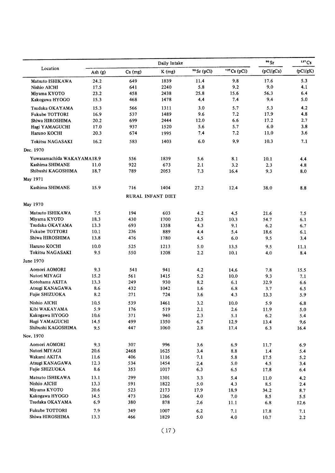|                                   |           |            | Daily Intake             |             |               | $90$ Sr     | 137Cs    |
|-----------------------------------|-----------|------------|--------------------------|-------------|---------------|-------------|----------|
| Location                          | Ash $(g)$ | $Ca$ (mg)  | $K$ (mg)                 | 90 Sr (pCi) | $137Cs$ (pCi) | (pCi/gCa)   | (pCi/gK) |
| Matsuto ISHIKAWA                  | 24.2      | 649        | 1839                     | 11.4        | 9.8           | 17.6        | 5.3      |
| Nishio AICHI                      | 17.5      | 641        | 2240                     | 5.8         | 9.2           | 9.0         | 4.1      |
| Miyama KYOTO                      | 23.2      | 458        | 2438                     | 25.8        | 15.6          | 56.3        | 6.4      |
| Kakogawa HYOGO                    | 15.3      | 468        | 1478                     | 4.4         | 7.4           | 9.4         | 5.0      |
| Tsudaka OKAYAMA                   | 15.3      | 566        | 1311                     | 3,0         | 5.7           | 5.3         | 4.2      |
| <b>Fukube TOTTORI</b>             | 16.9      | 537        | 1489                     | 9.6         | 7.2           | 17.9        | 4,8      |
| Shiwa HIROSHIMA                   | 20.2      | 699        | 2444                     | 12.0        | 6.6           | 17.2        | 2.7      |
| Hagi YAMAGUCHI                    | 17.0      | 937        | 1520                     | 5.6         | 5.7           | 6.0         | 3.8      |
| Haruno KOCHI                      | 20.3      | 674        | 1995                     | 7.4         | 7.2           | 11.0        | 3.6      |
| Tokitsu NAGASAKI                  | 16.2      | 583        | 1403                     | 6.0         | 9.9           | 10.3        | 7.1      |
| Dec. 1970                         |           |            |                          |             |               |             |          |
| Yuwasamachida WAKAYAMA18.9        |           |            |                          |             |               |             |          |
| Kashima SHIMANE                   |           | 556        | 1839                     | 5.6         | 8.1           | 10.1        | 4.4      |
| Shibushi KAGOSHIMA                | 11.0      | 922        | 673                      | 2.1         | 3.2           | 2,3         | 4.8      |
|                                   | 18.7      | 789        | 2053                     | 7.3         | 16.4          | 9.3         | 8.0      |
| May 1971                          |           |            |                          |             |               |             |          |
| Kashima SHIMANE                   | 15.9      | 716        | 1404                     | 27.2        | 12.4          | 38.0        | 8.8      |
|                                   |           |            | <b>RURAL INFANT DIET</b> |             |               |             |          |
| May 1970                          |           |            |                          |             |               |             |          |
| Matsuto ISHIKAWA                  | 7.5       | 194        | 603                      | 4.2         | 4.5           | 21.6        | 7.5      |
| Miyama KYOTO                      | 18.3      | 430        | 1700                     | 23.5        | 10.3          | 54.7        | 6.1      |
| Tsudaka OKAYAMA                   | 13.3      | 693        | 1358                     | 4.3         | 9.1           | 6.2         | 6.7      |
| <b>Fukube TOTTORI</b>             | 10.1      | 236        | 889                      | 4.4         | 5.4           | 18.6        | 6.1      |
| Shiwa HIROSHIMA                   | 13.8      | 476        | 1780                     | 4.5         | 6.0           | 9.5         | 3.4      |
| Haruno KOCHI                      | 10.0      | 525        | 1213                     | 5.0         | 13.5          | 9.5         | 11.1     |
| Tokitsu NAGASAKI                  | 9.5       | 550        | 1208                     | $2.2\,$     | 10.1          | 4.0         | 8.4      |
| June 1970                         |           |            |                          |             |               |             |          |
| Aomori AOMORI                     | 9.3       | 541        | 941                      | 4.2         | 14.6          |             |          |
| Natori MIYAGI                     | 15.2      | 561        | 1415                     |             |               | 7.8         | 15.5     |
| Kotohama AKITA                    | 13.3      | 249        | 930                      | 5.2<br>8.2  | 10.0          | 9.3         | 7.1      |
|                                   | 8.6       |            |                          |             | 6.1           | 32.9        | 6.6      |
| Atsugi KANAGAWA<br>Fujie SHIZUOKA | 8.2       | 432<br>271 | 1042<br>724              | 1.6<br>3.6  | 6.8<br>4.3    | 3.7<br>13.3 | 6.5      |
|                                   |           |            |                          |             |               |             | 5.9      |
| Nishio AICHI                      | 10.5      | 539        | 1461                     | 3.2         | 10.0          | 5.9         | 6.8      |
| Kibi WAKAYAMA                     | 5.9       | 176        | 519                      | 2.1         | 2.6           | 11.9        | 5.0      |
| Kakogawa HYOGO                    | 10.6      | 371        | 940                      | 2.3         | 5.1           | 6.2         | 5.4      |
| Hagi YAMAGUCHI                    | 14.5      | 499        | 1350                     | 6.7         | 12.9          | 13.4        | 9.6      |
| Shibushi KAGOSHIMA                | 9.5       | 447        | 1060                     | 2.8         | 17.4          | 6.3         | 16.4     |
| Nov. 1970                         |           |            |                          |             |               |             |          |
| Aomori AOMORI                     | 9.3       | 307        | 996                      | 3.6         | 6.9           | 11.7        | 6.9      |
| Natori MIYAGI                     | 20.6      | 2468       | 1625                     | 3.4         | 8.8           | 1.4         | 5.4      |
| Wakami AKITA                      | 11.6      | 406        | 1116                     | 7.1         | 5.8           | 17.5        | 5.2      |
| Atsugi KANAGAWA                   | 12.3      | 534        | 1454                     | 2.4         | 5.0           | 4.5         | 3.4      |
| Fujie SHIZUOKA                    | 8.6       | 353        | 1017                     | 6.3         | 6.5           | 17.8        | 6.4      |
| Matsuto ISHIKAWA                  | 13.1      | 299        | 1301                     | 3.3         | 5.4           | 11.0        | 4,2      |
| Nishio AICHI                      | 13.3      | 591        | 1822                     | 5.0         | 4.3           | 8.5         | 2.4      |
| Miyama KYOTO                      | 20.6      | 523        | 2173                     | 17.9        | 18.9          | 34.2        | 8.7      |
| Kakogawa HYOGO                    | 14.5      | 473        | 1266                     | 4.0         | 7.0           | 8.5         | 5.5      |
| Tsudaka OKAYAMA                   | 6.9       | 380        | 878                      | 2.6         | 11.1          | 6.8         | 12.6     |
| Fukube TOTTORI                    | 7.9       | 349        | 1007                     | 6.2         | 7.1           | 17.8        | 7.1      |
| Shiwa HIROSHIMA                   | 13.3      | 466        | 1829                     | 5.0         | 4.0           | 10.7        | 2.2      |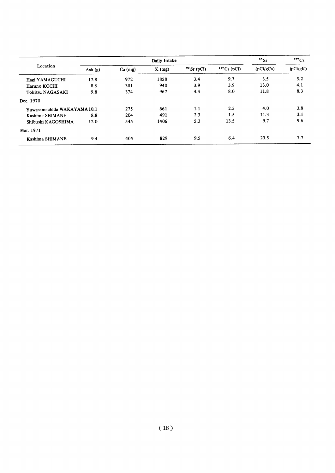|                             |           |           | Daily Intake |               |               | $90$ Sr   | 137Cs    |
|-----------------------------|-----------|-----------|--------------|---------------|---------------|-----------|----------|
| Location                    | Ash $(g)$ | $Ca$ (mg) | $K$ (mg)     | $90$ Sr (pCi) | $137Cs$ (pCi) | (pCi/gCa) | (pCi/gK) |
| Hagi YAMAGUCHI              | 17.8      | 972       | 1858         | 3,4           | 9.7           | 3.5       | 5.2      |
| Haruno KOCHI                | 8.6       | 301       | 940          | 3.9           | 3.9           | 13.0      | 4.1      |
| <b>Tokitsu NAGASAKI</b>     | 9.8       | 374       | 967          | 4.4           | 8.0           | 11.8      | 8.3      |
| Dec. 1970                   |           |           |              |               |               |           |          |
| Yuwasamachida WAKAYAMA 10.1 |           | 275       | 661          | 1.1           | 2.5           | 4.0       | 3.8      |
| Kashima SHIMANE             | 8.8       | 204       | 491          | 2.3           | 1.5           | 11.3      | 3.1      |
| Shibushi KAGOSHIMA          | 12.0      | 545       | 1406         | 5.3           | 13.5          | 9.7       | 9.6      |
| Mar. 1971                   |           |           |              |               |               |           |          |
| Kashima SHIMANE             | 9.4       | 405       | 829          | 9.5           | 6.4           | 23.5      | 7.7      |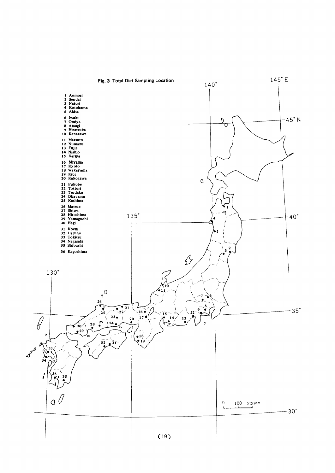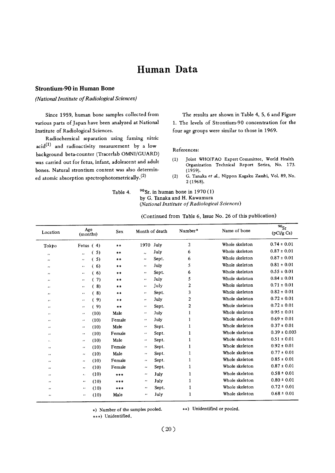## Human Data

#### **Strontium-90 in Human Bone**

(National Institute of Radiological Sciences)

Since 1959, human bone samples collected from various parts of Japan have been analyzed at National Institute of Radiological Sciences.

Radiochemical separation using fuming nitric  $\text{acid}^{(1)}$  and radioactivity measurement by a low background beta-counter (Tracerlab OMNI/GUARD) was carried out for fetus, infant, adolescent and adult bones. Natural strontium content was also determined atomic absorption spectrophotometrically.<sup>(2)</sup>

The results are shown in Table 4, 5, 6 and Figure 1. The levels of Strontium-90 concentration for the four age groups were similar to those in 1969.

#### References:

- Joint WHO/FAO Expert Committee, World Health  $(1)$ Organization Technical Report Series, No. 173.  $(1959).$
- G. Tanaka et al., Nippon Kagaku Zasshi, Vol. 89, No.  $(2)$  $2(1968).$

| Table 4. | $90$ Sr, in human bone in 1970 (1)            |
|----------|-----------------------------------------------|
|          | by G. Tanaka and H. Kawamura                  |
|          | (National Institute of Radiological Sciences) |

(Continued from Table 6, Issue No. 26 of this publication)

| Location                 | Age<br>(months)                              |      | Sex    |                      | Month of death | Number*          | Name of bone   | $^{90}$ Sr<br>(pCi/g Ca) |
|--------------------------|----------------------------------------------|------|--------|----------------------|----------------|------------------|----------------|--------------------------|
| Tokyo                    | Fetus $(4)$                                  |      | $* *$  | 1970                 | July           | $\overline{c}$   | Whole skeleton | $0.74 \pm 0.01$          |
| $\cdot$                  | $\lambda$                                    | (5)  | **     | $\ddot{\phantom{a}}$ | July           | 6                | Whole skeleton | $0.87 \pm 0.01$          |
| $\cdots$                 | $\mathcal{L}(\mathcal{L})$                   | (5)  | **     | $\pmb{\cdot}$        | Sept.          | 6                | Whole skeleton | $0.87 \pm 0.01$          |
| $\cdot$                  | $\pmb{\cdot}$                                | (6)  | $* *$  | $\cdot$              | July           | 5                | Whole skeleton | $0.81 \pm 0.01$          |
| $\cdot$                  | $\bullet$                                    | (6)  | $***$  | $\cdot\cdot$         | Sept.          | 6                | Whole skeleton | $0.55 \pm 0.01$          |
| $\cdot$                  | $\cdot\cdot$                                 | 7)   | $***$  | $\mathbf{u}$         | July           | 5                | Whole skeleton | $0.84 \pm 0.01$          |
| $\cdots$                 | $\pmb{\cdot}$                                | (8)  | $***$  | $\cdots$             | July           | $\boldsymbol{2}$ | Whole skeleton | $0.71 \pm 0.01$          |
|                          | $\cdot$                                      | (8)  | $* *$  | $\bullet$            | Sept.          | 3                | Whole skeleton | $0.82 \pm 0.01$          |
| $\cdot$                  | $\mathbf{r}$                                 | (9)  | $***$  | $\cdot$              | July           | 2                | Whole skeleton | $0.72 \pm 0.01$          |
| $^{\prime\prime}$        | $\cdot\cdot$                                 | (9)  | $***$  | $\cdot\cdot$         | Sept.          | $\mathbf{2}$     | Whole skeleton | $0.72 \pm 0.01$          |
| $\overline{\phantom{a}}$ | $\cdots$                                     | (10) | Male   | $\pmb{\cdot}$        | July           | ı                | Whole skeleton | $0.95 \pm 0.01$          |
| $\cdot\cdot$             | $\cdot$                                      | (10) | Female | $\pmb{\cdot}$        | July           | 1                | Whole skeleton | $0.69 \pm 0.01$          |
| $\cdot\cdot$             | $\cdots$                                     | (10) | Male   | $\pmb{\cdot}$        | Sept.          | 1                | Whole skeleton | $0.37 \pm 0.01$          |
| $\cdot$                  | $\cdots$                                     | (10) | Female | $\cdots$             | Sept.          | 1                | Whole skeleton | $0.39 \pm 0.003$         |
| $\mathbf{r}$ .           | $\bullet\hspace{0.7mm}\bullet\hspace{0.7mm}$ | (10) | Male   | $\pmb{\cdot}$        | Sept.          | 1                | Whole skeleton | $0.51 \pm 0.01$          |
| $\bullet$                | $\cdot$                                      | (10) | Female | $\pmb{\cdots}$       | Sept.          | 1                | Whole skeleton | $0.92 \pm 0.01$          |
| $\cdot$                  | $\bullet$                                    | (10) | Male   | $\cdots$             | Sept.          | 1                | Whole skeleton | $0.77 \pm 0.01$          |
| $\cdot$                  | $\cdot$                                      | (10) | Female | $\pmb{\cdots}$       | Sept.          | 1                | Whole skeleton | $0.85 \pm 0.01$          |
| $\cdot$                  | $\cdot\cdot$                                 | (10) | Female | $\cdot$ .            | Sept.          | 1                | Whole skeleton | $0.87 \pm 0.01$          |
| ,,                       | $\bullet$                                    | (10) | ***    | $\cdots$             | July           | 1                | Whole skeleton | $0.58 \pm 0.01$          |
| ,,                       | $\bullet$                                    | (10) | ***    | $\pmb{\cdot}$        | July           | $\mathbf{1}$     | Whole skeleton | $0.80 \pm 0.01$          |
| $^{\prime\prime}$        | $\mathbf{r}$                                 | (10) | ***    | $\cdot\cdot$         | Sept.          | $\mathbf{1}$     | Whole skeleton | $0.72 \pm 0.01$          |
| $\bullet$                | $\pmb{\cdot}$                                | (10) | Male   | $^{\prime\prime}$    | July           | 1                | Whole skeleton | $0.68 \pm 0.01$          |

\*) Number of the samples pooled.

\*\*) Unidentified or pooled.

\*\*\*) Unidentified.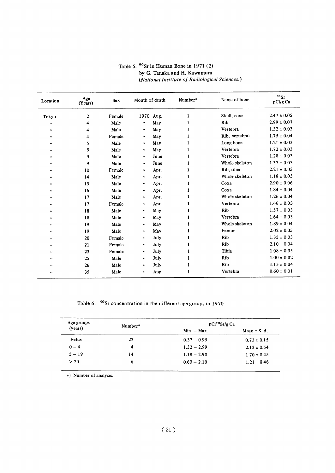| Location                                                              | Age<br>(Years) | Sex    | Month of death             |      | Number* | Name of bone   | $90$ Sr<br>$p\mathrm{Ci}/g$ Ca |  |
|-----------------------------------------------------------------------|----------------|--------|----------------------------|------|---------|----------------|--------------------------------|--|
| Tokyo                                                                 | $\overline{2}$ | Female | 1970 Aug.                  |      |         | Skull, coxa    | $2.47 \pm 0.05$                |  |
| $\mathbf{r}$                                                          | 4              | Male   | $\mathcal{F}(\mathcal{F})$ | May  |         | Rib            | $2.99 \pm 0.07$                |  |
| $\bullet$                                                             | 4              | Male   | $\mathcal{F}(\mathcal{E})$ | May  |         | Vertebra       | $1.32 \pm 0.03$                |  |
| $\overline{\phantom{a}}$                                              | 4              | Female | $\mathcal{F}(\mathcal{F})$ | May  |         | Rib, vertebral | $1.75 \pm 0.04$                |  |
| $\cdots$                                                              | 5              | Male   | $\mathcal{L}(\mathcal{E})$ | May  |         | Long bone      | $1.21 \pm 0.03$                |  |
| $\qquad \qquad \cdots$                                                | 5              | Male   | $\mathcal{F}(\mathcal{F})$ | May  |         | Vertebra       | $1.72 \pm 0.03$                |  |
| $\mathcal{L}$                                                         | 9              | Male   | $\mathcal{F}(\mathcal{E})$ | June |         | Vertebra       | $1.28 \pm 0.03$                |  |
| $\cdot$                                                               | 9              | Male   | $\mathcal{F}(\mathcal{F})$ | June |         | Whole skeleton | $1.37 \pm 0.03$                |  |
| $\cdots$                                                              | $10\,$         | Female | $\bullet\bullet$           | Apr. |         | Rib, tibia     | $2.21 \pm 0.05$                |  |
| $\cdots$                                                              | 14             | Male   | $\bullet\bullet$           | Apr. |         | Whole skeleton | $1.18 \pm 0.03$                |  |
| $\bullet$                                                             | 15             | Male   | $\mathcal{F}(\mathcal{C})$ | Apr. |         | Coxa           | $2.90 \pm 0.06$                |  |
| $\cdots$                                                              | 16             | Male   | $\mathbf{r}$               | Apr. |         | Coxa           | $1.84 \pm 0.04$                |  |
| $\cdots$                                                              | 17             | Male   | $\cdots$                   | Apr. |         | Whole skeleton | $1.26 \pm 0.04$                |  |
| $\bullet$ $\bullet$                                                   | 17             | Female | $\mathcal{F}(\mathcal{E})$ | Арг. |         | Vertebra       | $1.66 \pm 0.03$                |  |
| $\mathbf{r}$                                                          | 18             | Male   | $\boldsymbol{\alpha}$      | May  |         | Rib            | $1.57 \pm 0.03$                |  |
| $\cdots$                                                              | 18             | Male   | $\mathbf{r}$               | May  |         | Vertebra       | $1.64 \pm 0.03$                |  |
| $\bullet$                                                             | 19             | Male   | $\boldsymbol{\alpha}$      | May  |         | Whole skeleton | $1.89 \pm 0.04$                |  |
| $\cdots$                                                              | 19             | Male   | $\bullet\bullet$           | May  |         | Femur          | $2.02 \pm 0.05$                |  |
| $\mathcal{L}^{\prime}(\mathcal{C})=\mathcal{L}^{\prime}(\mathcal{C})$ | 20             | Female | $\mathcal{F}(\mathcal{F})$ | July |         | Rib            | $1.35 \pm 0.03$                |  |
| $\bullet\,\bullet$                                                    | 21             | Female | $\boldsymbol{\alpha}$      | July |         | Rib            | $2.10 \pm 0.04$                |  |
| $^{\prime\prime}$                                                     | 23             | Female | $\mathcal{F}(\mathcal{C})$ | July |         | Tibia          | $1.08 \pm 0.05$                |  |
| $\bullet$                                                             | 25             | Male   | $\boldsymbol{\cdot}$       | July |         | Rib            | $1.00 \pm 0.02$                |  |
| $\cdots$                                                              | 26             | Male   | $\bullet$                  | July |         | Rib            | $1.13 \pm 0.04$                |  |
| $\cdots$                                                              | 35             | Male   | $\boldsymbol{\alpha}$      | Aug. |         | Vertebra       | $0.60 \pm 0.01$                |  |

Table 5. $\gamma$ Sr in Human Bone: by G. Tanaka and H. (National Institute of Radiological Sciences.)

Table 6. <sup>90</sup>Sr concentration in the different age groups in 1970

| Age groups | Number* | pCi <sup>9</sup> Sr/g Ca |                  |
|------------|---------|--------------------------|------------------|
| (years)    |         | $Min. - Max.$            | Mean $\pm$ S. d. |
| Fetus      | 23      | $0.37 - 0.95$            | $0.73 \pm 0.15$  |
| $0 - 4$    | 4       | $1.32 - 2.99$            | $2.13 \pm 0.64$  |
| $5 - 19$   | 14      | $1.18 - 2.90$            | $1.70 \pm 0.45$  |
| > 20       | 6       | $0.60 - 2.10$            | $1.21 \pm 0.46$  |

\*) Number of analysis.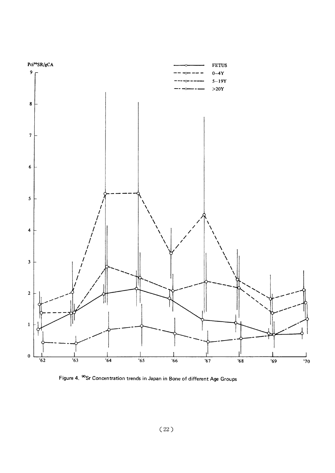

Figure 4. <sup>90</sup>Sr Concentration trends in Japan in Bone of different Age Groups